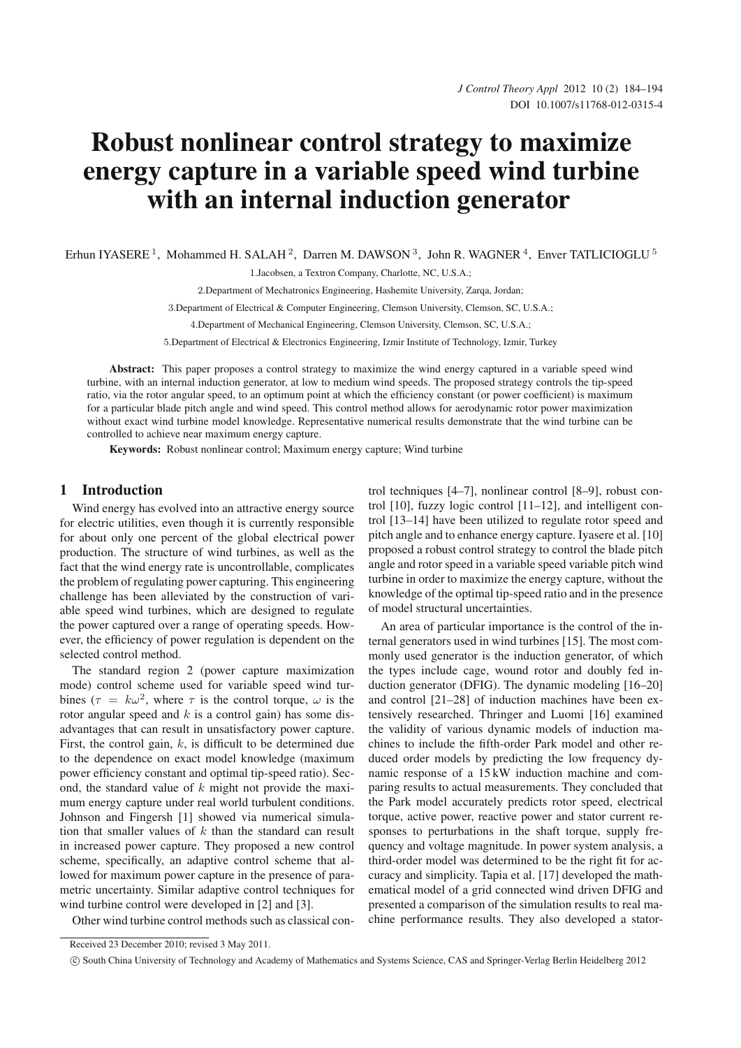# Robust nonlinear control strategy to maximize energy capture in a variable speed wind turbine with an internal induction generator

Erhun IYASERE<sup>1</sup>, Mohammed H. SALAH<sup>2</sup>, Darren M. DAWSON<sup>3</sup>, John R. WAGNER<sup>4</sup>, Enver TATLICIOGLU<sup>5</sup>

1.Jacobsen, a Textron Company, Charlotte, NC, U.S.A.;

2.Department of Mechatronics Engineering, Hashemite University, Zarqa, Jordan;

3.Department of Electrical & Computer Engineering, Clemson University, Clemson, SC, U.S.A.;

4.Department of Mechanical Engineering, Clemson University, Clemson, SC, U.S.A.;

5.Department of Electrical & Electronics Engineering, Izmir Institute of Technology, Izmir, Turkey

Abstract: This paper proposes a control strategy to maximize the wind energy captured in a variable speed wind turbine, with an internal induction generator, at low to medium wind speeds. The proposed strategy controls the tip-speed ratio, via the rotor angular speed, to an optimum point at which the efficiency constant (or power coefficient) is maximum for a particular blade pitch angle and wind speed. This control method allows for aerodynamic rotor power maximization without exact wind turbine model knowledge. Representative numerical results demonstrate that the wind turbine can be controlled to achieve near maximum energy capture.

Keywords: Robust nonlinear control; Maximum energy capture; Wind turbine

# 1 Introduction

Wind energy has evolved into an attractive energy source for electric utilities, even though it is currently responsible for about only one percent of the global electrical power production. The structure of wind turbines, as well as the fact that the wind energy rate is uncontrollable, complicates the problem of regulating power capturing. This engineering challenge has been alleviated by the construction of variable speed wind turbines, which are designed to regulate the power captured over a range of operating speeds. However, the efficiency of power regulation is dependent on the selected control method.

The standard region 2 (power capture maximization mode) control scheme used for variable speed wind turbines ( $\tau = k\omega^2$ , where  $\tau$  is the control torque,  $\omega$  is the rotor angular speed and  $k$  is a control gain) has some disadvantages that can result in unsatisfactory power capture. First, the control gain,  $k$ , is difficult to be determined due to the dependence on exact model knowledge (maximum power efficiency constant and optimal tip-speed ratio). Second, the standard value of  $k$  might not provide the maximum energy capture under real world turbulent conditions. Johnson and Fingersh [1] showed via numerical simulation that smaller values of  $k$  than the standard can result in increased power capture. They proposed a new control scheme, specifically, an adaptive control scheme that allowed for maximum power capture in the presence of parametric uncertainty. Similar adaptive control techniques for wind turbine control were developed in [2] and [3].

Other wind turbine control methods such as classical con-

trol techniques [4–7], nonlinear control [8–9], robust control [10], fuzzy logic control [11–12], and intelligent control [13–14] have been utilized to regulate rotor speed and pitch angle and to enhance energy capture. Iyasere et al. [10] proposed a robust control strategy to control the blade pitch angle and rotor speed in a variable speed variable pitch wind turbine in order to maximize the energy capture, without the knowledge of the optimal tip-speed ratio and in the presence of model structural uncertainties.

An area of particular importance is the control of the internal generators used in wind turbines [15]. The most commonly used generator is the induction generator, of which the types include cage, wound rotor and doubly fed induction generator (DFIG). The dynamic modeling [16–20] and control [21–28] of induction machines have been extensively researched. Thringer and Luomi [16] examined the validity of various dynamic models of induction machines to include the fifth-order Park model and other reduced order models by predicting the low frequency dynamic response of a 15 kW induction machine and comparing results to actual measurements. They concluded that the Park model accurately predicts rotor speed, electrical torque, active power, reactive power and stator current responses to perturbations in the shaft torque, supply frequency and voltage magnitude. In power system analysis, a third-order model was determined to be the right fit for accuracy and simplicity. Tapia et al. [17] developed the mathematical model of a grid connected wind driven DFIG and presented a comparison of the simulation results to real machine performance results. They also developed a stator-

Received 23 December 2010; revised 3 May 2011.

<sup>-</sup>c South China University of Technology and Academy of Mathematics and Systems Science, CAS and Springer-Verlag Berlin Heidelberg 2012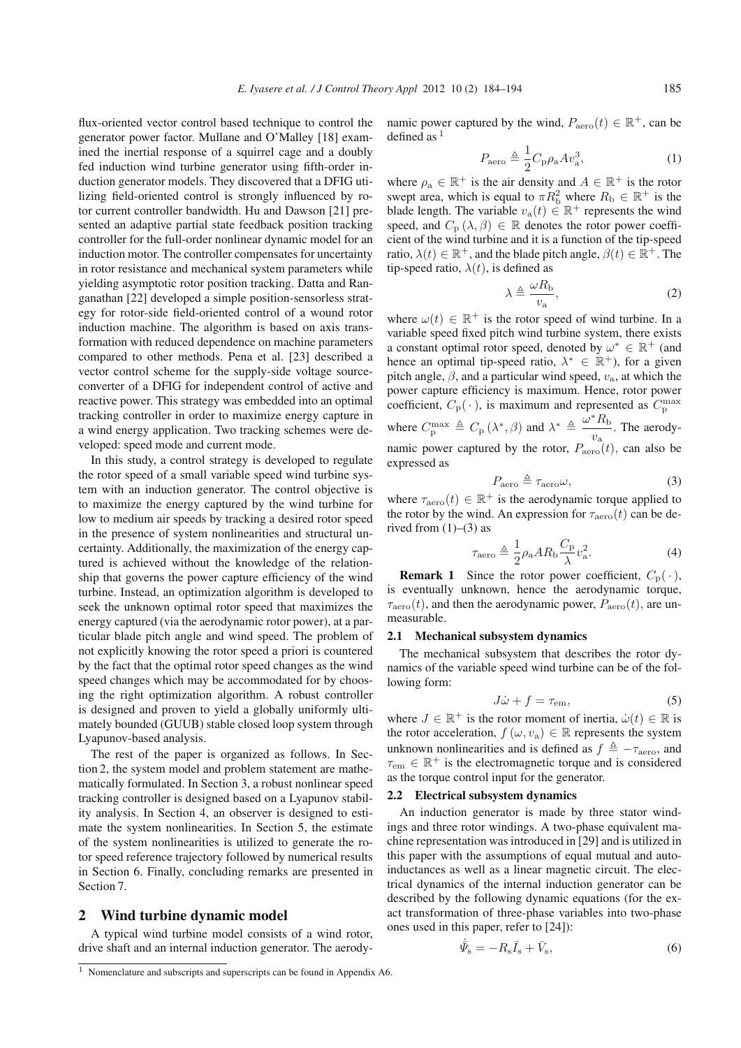flux-oriented vector control based technique to control the generator power factor. Mullane and O'Malley [18] examined the inertial response of a squirrel cage and a doubly fed induction wind turbine generator using fifth-order induction generator models. They discovered that a DFIG utilizing field-oriented control is strongly influenced by rotor current controller bandwidth. Hu and Dawson [21] presented an adaptive partial state feedback position tracking controller for the full-order nonlinear dynamic model for an induction motor. The controller compensates for uncertainty in rotor resistance and mechanical system parameters while yielding asymptotic rotor position tracking. Datta and Ranganathan [22] developed a simple position-sensorless strategy for rotor-side field-oriented control of a wound rotor induction machine. The algorithm is based on axis transformation with reduced dependence on machine parameters compared to other methods. Pena et al. [23] described a vector control scheme for the supply-side voltage sourceconverter of a DFIG for independent control of active and reactive power. This strategy was embedded into an optimal tracking controller in order to maximize energy capture in a wind energy application. Two tracking schemes were developed: speed mode and current mode.

In this study, a control strategy is developed to regulate the rotor speed of a small variable speed wind turbine system with an induction generator. The control objective is to maximize the energy captured by the wind turbine for low to medium air speeds by tracking a desired rotor speed in the presence of system nonlinearities and structural uncertainty. Additionally, the maximization of the energy captured is achieved without the knowledge of the relationship that governs the power capture efficiency of the wind turbine. Instead, an optimization algorithm is developed to seek the unknown optimal rotor speed that maximizes the energy captured (via the aerodynamic rotor power), at a particular blade pitch angle and wind speed. The problem of not explicitly knowing the rotor speed a priori is countered by the fact that the optimal rotor speed changes as the wind speed changes which may be accommodated for by choosing the right optimization algorithm. A robust controller is designed and proven to yield a globally uniformly ultimately bounded (GUUB) stable closed loop system through Lyapunov-based analysis.

The rest of the paper is organized as follows. In Section 2, the system model and problem statement are mathematically formulated. In Section 3, a robust nonlinear speed tracking controller is designed based on a Lyapunov stability analysis. In Section 4, an observer is designed to estimate the system nonlinearities. In Section 5, the estimate of the system nonlinearities is utilized to generate the rotor speed reference trajectory followed by numerical results in Section 6. Finally, concluding remarks are presented in Section 7.

#### 2 Wind turbine dynamic model

A typical wind turbine model consists of a wind rotor, drive shaft and an internal induction generator. The aerodynamic power captured by the wind,  $P_{\text{aero}}(t) \in \mathbb{R}^+$ , can be defined as  $<sup>1</sup>$ </sup>

$$
P_{\text{aero}} \triangleq \frac{1}{2} C_{\text{p}} \rho_{\text{a}} A v_{\text{a}}^3,\tag{1}
$$

where  $\rho_a \in \mathbb{R}^+$  is the air density and  $A \in \mathbb{R}^+$  is the rotor swept area, which is equal to  $\pi R_{\rm b}^2$  where  $R_{\rm b} \in \mathbb{R}^+$  is the blade length. The variable  $v_a(t) \in \mathbb{R}^+$  represents the wind speed, and  $C_p(\lambda, \beta) \in \mathbb{R}$  denotes the rotor power coefficient of the wind turbine and it is a function of the tip-speed ratio,  $\lambda(t) \in \mathbb{R}^+$ , and the blade pitch angle,  $\beta(t) \in \mathbb{R}^+$ . The tip-speed ratio,  $\lambda(t)$ , is defined as

$$
\lambda \triangleq \frac{\omega R_{\rm b}}{v_{\rm a}},\tag{2}
$$

where  $\omega(t) \in \mathbb{R}^+$  is the rotor speed of wind turbine. In a variable speed fixed pitch wind turbine system, there exists a constant optimal rotor speed, denoted by  $\omega^* \in \mathbb{R}^+$  (and hence an optimal tip-speed ratio,  $\lambda^* \in \mathbb{R}^+$ ), for a given pitch angle,  $\beta$ , and a particular wind speed,  $v_a$ , at which the power capture efficiency is maximum. Hence, rotor power coefficient,  $C_p(\cdot)$ , is maximum and represented as  $C_p^{\text{max}}$ 

where  $C_p^{\max} \triangleq C_p(\lambda^*, \beta)$  and  $\lambda^* \triangleq \frac{\omega^* R_b}{v_a}$  $\frac{1}{v_a}$ . The aerodynamic power captured by the rotor,  $P_{\text{aero}}(t)$ , can also be expressed as expressed as

$$
P_{\text{aero}} \triangleq \tau_{\text{aero}} \omega,\tag{3}
$$

where  $\tau_{\text{aero}}(t) \in \mathbb{R}^+$  is the aerodynamic torque applied to the rotor by the wind. An expression for  $\tau_{\text{aero}}(t)$  can be derived from  $(1)$ – $(3)$  as

$$
\tau_{\rm aero} \triangleq \frac{1}{2} \rho_{\rm a} A R_{\rm b} \frac{C_{\rm p}}{\lambda} v_{\rm a}^2. \tag{4}
$$

**Remark 1** Since the rotor power coefficient,  $C_p(\cdot)$ , eventually unknown bence the aerodynamic torque is eventually unknown, hence the aerodynamic torque,  $\tau_{\rm aero}(t)$ , and then the aerodynamic power,  $P_{\rm aero}(t)$ , are unmeasurable.

#### 2.1 Mechanical subsystem dynamics

The mechanical subsystem that describes the rotor dynamics of the variable speed wind turbine can be of the following form:

$$
J\dot{\omega} + f = \tau_{\rm em},\tag{5}
$$

where  $J \in \mathbb{R}^+$  is the rotor moment of inertia,  $\dot{\omega}(t) \in \mathbb{R}$  is<br>the rotor acceleration  $f(\omega, v_1) \in \mathbb{R}$  represents the system the rotor acceleration,  $f(\omega, v_a) \in \mathbb{R}$  represents the system unknown nonlinearities and is defined as  $f \triangleq -\tau_{\text{aero}}$ , and  $\tau_{em} \in \mathbb{R}^+$  is the electromagnetic torque and is considered as the torque control input for the generator.

#### 2.2 Electrical subsystem dynamics

An induction generator is made by three stator windings and three rotor windings. A two-phase equivalent machine representation was introduced in [29] and is utilized in this paper with the assumptions of equal mutual and autoinductances as well as a linear magnetic circuit. The electrical dynamics of the internal induction generator can be described by the following dynamic equations (for the exact transformation of three-phase variables into two-phase ones used in this paper, refer to [24]):

$$
\bar{\varPsi}_{\rm s} = -R_{\rm s}\bar{I}_{\rm s} + \bar{V}_{\rm s},\tag{6}
$$

 $1$  Nomenclature and subscripts and superscripts can be found in Appendix A6.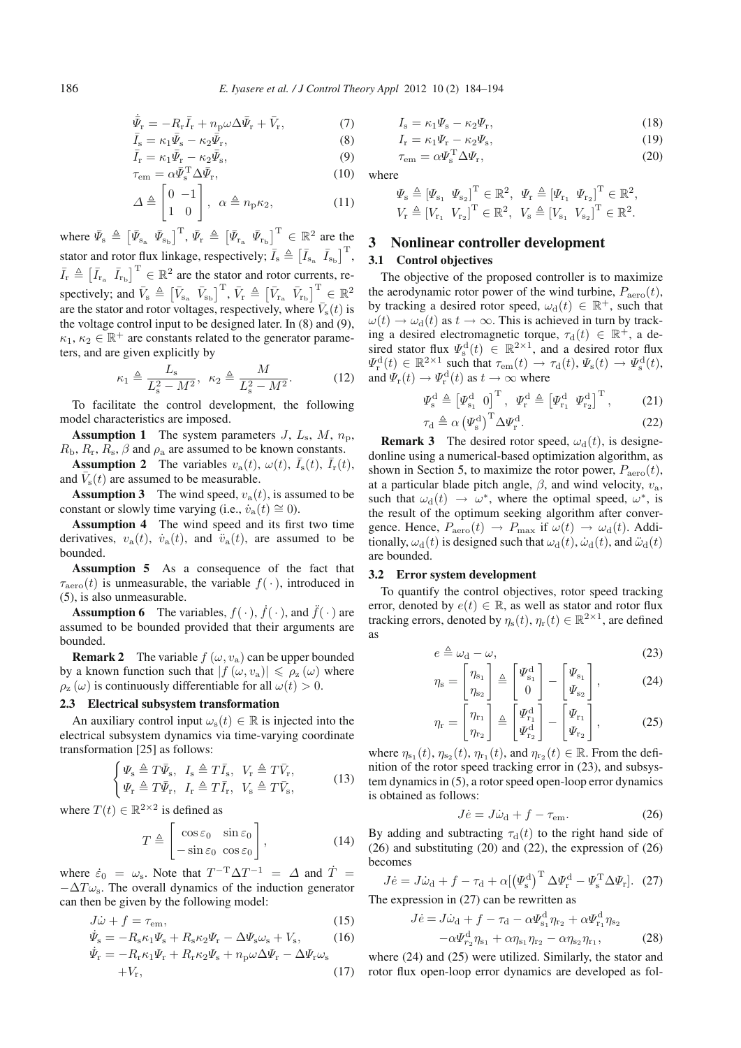$$
\bar{\Psi}_{\mathbf{r}} = -R_{\mathbf{r}}\bar{I}_{\mathbf{r}} + n_{\mathbf{p}}\omega\Delta\bar{\Psi}_{\mathbf{r}} + \bar{V}_{\mathbf{r}},\tag{7}
$$
\n
$$
\bar{\mathbf{r}} = \omega\bar{\mathbf{r}} + \omega\bar{\mathbf{r}}\tag{8}
$$

$$
\bar{I}_s = \kappa_1 \bar{\Psi}_s - \kappa_2 \bar{\Psi}_r,\tag{8}
$$
\n
$$
\bar{I}_s = \mu_1 \bar{\Psi}_s - \mu_2 \bar{\Psi}_r,\tag{9}
$$

$$
\bar{I}_r = \kappa_1 \bar{\Psi}_r - \kappa_2 \bar{\Psi}_s,\tag{9}
$$

$$
I_{\rm r} = \kappa_1 \Psi_{\rm r} - \kappa_2 \Psi_{\rm s},\tag{9}
$$

$$
\tau_{\rm em} = \alpha \bar{\Psi}_{\rm s}^{\rm T} \Delta \bar{\Psi}_{\rm r},\tag{10}
$$

$$
\Delta \triangleq \begin{bmatrix} 0 & -1 \\ 1 & 0 \end{bmatrix}, \ \alpha \triangleq n_{p}\kappa_{2}, \tag{11}
$$

where  $\bar{\Psi}_{s} \triangleq \left[\bar{\Psi}_{s_{a}} \ \bar{\Psi}_{s_{b}}\right]^{T}, \bar{\Psi}_{r} \triangleq \left[\bar{\Psi}_{r_{a}} \ \bar{\Psi}_{r_{b}}\right]^{T} \in \mathbb{R}^{2}$  are the stator and rotor flux linkage, respectively;  $\overline{I}_s \triangleq [\overline{I}_{s_a} \ \overline{I}_{s_b}]^T$ ,  $\overline{I}_r \triangleq [\overline{I}_{r_a} \ \overline{I}_{r_b}]^T \in \mathbb{R}^2$  are the stator and rotor currents, respectively; and  $\bar{V}_s \triangleq [\bar{V}_{s_a} \ \bar{V}_{s_b}]^T$ ,  $\bar{V}_r \triangleq [\bar{V}_{r_a} \ \bar{V}_{r_b}]^T \in \mathbb{R}^2$ are the stator and rotor voltages, respectively, where  $\bar{V}_s(t)$  is the voltage control input to be designed later. In (8) and (9),  $\kappa_1, \kappa_2 \in \mathbb{R}^+$  are constants related to the generator parameters, and are given explicitly by

$$
\kappa_1 \triangleq \frac{L_\mathrm{s}}{L_\mathrm{s}^2 - M^2}, \ \kappa_2 \triangleq \frac{M}{L_\mathrm{s}^2 - M^2}.\tag{12}
$$

To facilitate the control development, the following model characteristics are imposed.

**Assumption 1** The system parameters  $J, L_s, M, n_p$ ,  $R_{\rm b}, R_{\rm r}, R_{\rm s}, \beta$  and  $\rho_{\rm a}$  are assumed to be known constants.

**Assumption 2** The variables  $v_a(t)$ ,  $\omega(t)$ ,  $\overline{I}_s(t)$ ,  $\overline{I}_r(t)$ , and  $V<sub>s</sub>(t)$  are assumed to be measurable.

**Assumption 3** The wind speed,  $v_a(t)$ , is assumed to be constant or slowly time varying (i.e.,  $\dot{v}_a(t) \approx 0$ ).

Assumption 4 The wind speed and its first two time derivatives,  $v_a(t)$ ,  $\dot{v}_a(t)$ , and  $\ddot{v}_a(t)$ , are assumed to be bounded.

Assumption 5 As a consequence of the fact that  $\tau_{\text{aero}}(t)$  is unmeasurable, the variable  $f(\cdot)$ , introduced in (5), is also unmeasurable.

**Assumption 6** The variables,  $f(\cdot)$ ,  $\dot{f}(\cdot)$ , and  $\ddot{f}(\cdot)$  are assumed to be bounded provided that their arguments are bounded.

**Remark 2** The variable  $f(\omega, v_a)$  can be upper bounded by a known function such that  $|f(\omega, v_a)| \leq \rho_{\rm z}(\omega)$  where  $\rho_z(\omega)$  is continuously differentiable for all  $\omega(t) > 0$ .

### 2.3 Electrical subsystem transformation

An auxiliary control input  $\omega_{s}(t) \in \mathbb{R}$  is injected into the electrical subsystem dynamics via time-varying coordinate transformation [25] as follows:

$$
\begin{cases} \Psi_{\rm s} \triangleq T\bar{\Psi}_{\rm s}, \quad I_{\rm s} \triangleq T\bar{I}_{\rm s}, \quad V_{\rm r} \triangleq T\bar{V}_{\rm r}, \\ \Psi_{\rm r} \triangleq T\bar{\Psi}_{\rm r}, \quad I_{\rm r} \triangleq T\bar{I}_{\rm r}, \quad V_{\rm s} \triangleq T\bar{V}_{\rm s}, \end{cases} \tag{13}
$$

where  $T(t) \in \mathbb{R}^{2 \times 2}$  is defined as

$$
T \triangleq \begin{bmatrix} \cos \varepsilon_0 & \sin \varepsilon_0 \\ -\sin \varepsilon_0 & \cos \varepsilon_0 \end{bmatrix}, \tag{14}
$$

where  $\dot{\varepsilon}_0 = \omega_s$ . Note that  $T^{-T} \Delta T^{-1} = \Delta$  and  $\dot{T} =$  $-\Delta T \omega_s$ . The overall dynamics of the induction generator can then be given by the following model:

$$
J\dot{\omega} + f = \tau_{\rm em},\tag{15}
$$
\n
$$
\dot{\Psi}_{\rm s} = -R_{\rm s}\kappa_1\Psi_{\rm s} + R_{\rm s}\kappa_2\Psi_{\rm r} - \Delta\Psi_{\rm s}\omega_{\rm s} + V_{\rm s},\tag{16}
$$

$$
\Psi_{\rm s} = -R_{\rm s}\kappa_1\Psi_{\rm s} + R_{\rm s}\kappa_2\Psi_{\rm r} - \Delta\Psi_{\rm s}\omega_{\rm s} + V_{\rm s},\qquad(16)
$$
\n
$$
\dot{\Psi}_{\rm r} = -R_{\rm r}\kappa_1\Psi_{\rm r} + R_{\rm r}\kappa_2\Psi_{\rm s} + n_{\rm p}\omega\Delta\Psi_{\rm r} - \Delta\Psi_{\rm r}\omega_{\rm s}
$$

$$
V_{\rm r} = -R_{\rm r}\kappa_1\Psi_{\rm r} + R_{\rm r}\kappa_2\Psi_{\rm s} + n_{\rm p}\omega\Delta\Psi_{\rm r} - \Delta\Psi_{\rm r}\omega_{\rm s} +V_{\rm r},
$$
\n(17)

$$
I_s = \kappa_1 \Psi_s - \kappa_2 \Psi_r,\tag{18}
$$
\n
$$
I = \kappa_1 \Psi_s - \kappa_2 \Psi_r,\tag{19}
$$

$$
I_{\rm r} = \kappa_1 \Psi_{\rm r} - \kappa_2 \Psi_{\rm s},\tag{19}
$$
\n
$$
I_{\rm r} = \kappa_1 \Psi_{\rm r} - \kappa_2 \Psi_{\rm s},\tag{20}
$$

$$
\tau_{\rm em} = \alpha \Psi_{\rm s}^{\rm T} \Delta \Psi_{\rm r},\tag{20}
$$

where

$$
\Psi_{s} \triangleq [\Psi_{s_1} \ \Psi_{s_2}]^T \in \mathbb{R}^2, \ \Psi_{r} \triangleq [\Psi_{r_1} \ \Psi_{r_2}]^T \in \mathbb{R}^2, V_r \triangleq [V_{r_1} \ V_{r_2}]^T \in \mathbb{R}^2, \ V_s \triangleq [V_{s_1} \ V_{s_2}]^T \in \mathbb{R}^2.
$$

# 3 Nonlinear controller development

## 3.1 Control objectives

The objective of the proposed controller is to maximize the aerodynamic rotor power of the wind turbine,  $P_{\text{aero}}(t)$ , by tracking a desired rotor speed,  $\omega_d(t) \in \mathbb{R}^+$ , such that  $\omega(t) \rightarrow \omega_d(t)$  as  $t \rightarrow \infty$ . This is achieved in turn by track-<br>ing a desired electromagnetic torque,  $\tau_d(t) \in \mathbb{R}^+$ , a deing a desired electromagnetic torque,  $\tau_d(t) \in \mathbb{R}^+$ , a desired stator flux  $\Psi_s^d(t) \in \mathbb{R}^{2\times 1}$ , and a desired rotor flux  $\Psi_d^d(t) \in \mathbb{R}^{2\times 1}$  such that  $\tau_{s+1}(t) \to \tau_i(t) \Psi_d(t) \to \Psi_d^d(t)$  $\Psi_{\rm st}^{\rm d}(t) \in \mathbb{R}^{2 \times 1}$  such that  $\tau_{\rm em}(t) \to \tau_{\rm d}(t), \Psi_{\rm s}(t) \to \Psi_{\rm s}^{\rm d}(t),$ <br>and  $\Psi(t) \to \Psi^{\rm d}(t)$  as  $t \to \infty$  where and  $\Psi_{\rm r}(t) \to \Psi_{\rm r}^{\rm d}(t)$  as  $t \to \infty$  where

$$
\Psi_{\mathbf{s}}^{\mathbf{d}} \triangleq \left[\Psi_{\mathbf{s}_1}^{\mathbf{d}} \mathbf{0}\right]^{\mathbf{T}}, \quad \Psi_{\mathbf{r}}^{\mathbf{d}} \triangleq \left[\Psi_{\mathbf{r}_1}^{\mathbf{d}} \Psi_{\mathbf{r}_2}^{\mathbf{d}}\right]^{\mathbf{T}},\tag{21}
$$

$$
\tau_{\rm d} \triangleq \alpha \left(\Psi_{\rm s}^{\rm d}\right)^{\rm T} \Delta \Psi_{\rm r}^{\rm d}.\tag{22}
$$

**Remark 3** The desired rotor speed,  $\omega_d(t)$ , is designe-<br>pline using a numerical-based optimization algorithm as donline using a numerical-based optimization algorithm, as shown in Section 5, to maximize the rotor power,  $P_{\text{aero}}(t)$ , at a particular blade pitch angle,  $\beta$ , and wind velocity,  $v_a$ , such that  $\omega_d(t) \rightarrow \omega^*$ , where the optimal speed,  $\omega^*$ , is the result of the optimum seeking algorithm after convergence. Hence,  $P_{\text{aero}}(t) \rightarrow P_{\text{max}}$  if  $\omega(t) \rightarrow \omega_d(t)$ . Additionally,  $\omega_d(t)$  is designed such that  $\omega_d(t)$ ,  $\dot{\omega}_d(t)$ , and  $\ddot{\omega}_d(t)$ are bounded.

#### 3.2 Error system development

 $\epsilon$ 

To quantify the control objectives, rotor speed tracking error, denoted by  $e(t) \in \mathbb{R}$ , as well as stator and rotor flux tracking errors, denoted by  $\eta_s(t)$ ,  $\eta_r(t) \in \mathbb{R}^{2 \times 1}$ , are defined as

$$
\stackrel{\Delta}{=}\omega_{\rm d}-\omega,\tag{23}
$$

$$
\eta_{\rm s} = \begin{bmatrix} \eta_{\rm s_1} \\ \eta_{\rm s_2} \end{bmatrix} \triangleq \begin{bmatrix} \Psi_{\rm s_1}^{\rm d} \\ 0 \end{bmatrix} - \begin{bmatrix} \Psi_{\rm s_1} \\ \Psi_{\rm s_2} \end{bmatrix},\tag{24}
$$

$$
\eta_{\rm r} = \begin{bmatrix} \eta_{\rm r_1} \\ \eta_{\rm r_2} \end{bmatrix} \triangleq \begin{bmatrix} \Psi_{\rm r_1}^{\rm d} \\ \Psi_{\rm r_2}^{\rm d} \end{bmatrix} - \begin{bmatrix} \Psi_{\rm r_1} \\ \Psi_{\rm r_2} \end{bmatrix}, \tag{25}
$$

where  $\eta_{s_1}(t)$ ,  $\eta_{s_2}(t)$ ,  $\eta_{r_1}(t)$ , and  $\eta_{r_2}(t) \in \mathbb{R}$ . From the definition of the rotor speed tracking error in (23), and subsystem dynamics in (5), a rotor speed open-loop error dynamics is obtained as follows:

$$
J\dot{e} = J\dot{\omega}_{\rm d} + f - \tau_{\rm em}.\tag{26}
$$

By adding and subtracting  $\tau_d(t)$  to the right hand side of (26) and substituting (20) and (22) the expression of (26) (26) and substituting (20) and (22), the expression of (26) becomes

$$
J\dot{e} = J\dot{\omega}_{\rm d} + f - \tau_{\rm d} + \alpha \left[ \left( \varPsi_{\rm s}^{\rm d} \right)^{\rm T} \Delta \varPsi_{\rm r}^{\rm d} - \varPsi_{\rm s}^{\rm T} \Delta \varPsi_{\rm r} \right]. \tag{27}
$$
  
The expression in (27) can be rewritten as

$$
J\dot{e} = J\dot{\omega}_{\rm d} + f - \tau_{\rm d} - \alpha \Psi_{\rm s_1}^{\rm d} \eta_{\rm r_2} + \alpha \Psi_{\rm r_1}^{\rm d} \eta_{\rm s_2}
$$

$$
-\alpha \Psi_{\rm r_2}^{\rm d} \eta_{\rm s_1} + \alpha \eta_{\rm s_1} \eta_{\rm r_2} - \alpha \eta_{\rm s_2} \eta_{\rm r_1},\tag{28}
$$

 $-\alpha \Psi_{r_2}^d \eta_{s_1} + \alpha \eta_{s_1} \eta_{r_2} - \alpha \eta_{s_2} \eta_{r_1},$  (28)<br>where (24) and (25) were utilized. Similarly, the stator and rotor flux open-loop error dynamics are developed as fol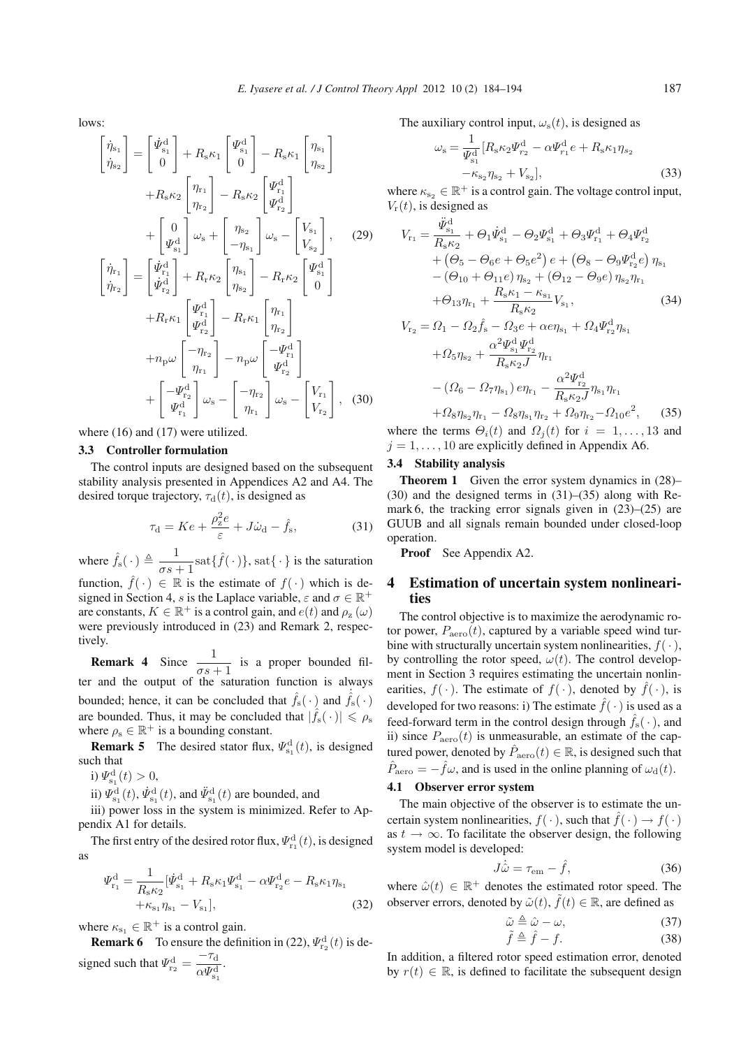lows:

$$
\begin{bmatrix}\n\dot{\eta}_{s_1} \\
\dot{\eta}_{s_2}\n\end{bmatrix} = \begin{bmatrix}\n\dot{\Psi}_{s_1}^d \\
0\n\end{bmatrix} + R_s \kappa_1 \begin{bmatrix}\n\Psi_{s_1}^d \\
0\n\end{bmatrix} - R_s \kappa_1 \begin{bmatrix}\n\eta_{s_1} \\
\eta_{s_2}\n\end{bmatrix} \n+ R_s \kappa_2 \begin{bmatrix}\n\eta_{r_1} \\
\eta_{r_2}\n\end{bmatrix} - R_s \kappa_2 \begin{bmatrix}\n\Psi_{r_1}^d \\
\Psi_{r_2}^d\n\end{bmatrix} \n+ \begin{bmatrix}\n0 \\
\Psi_{s_1}^d \\
\dot{\Psi}_{s_1}^d\n\end{bmatrix} \omega_s + \begin{bmatrix}\n\eta_{s_2} \\
-\eta_{s_1}\n\end{bmatrix} \omega_s - \begin{bmatrix}\nV_{s_1} \\
V_{s_2}\n\end{bmatrix}, \quad (29) \n\begin{bmatrix}\n\dot{\eta}_{r_1} \\
\dot{\eta}_{r_2}\n\end{bmatrix} = \begin{bmatrix}\n\dot{\Psi}_{r_1}^d \\
\dot{\Psi}_{r_2}^d\n\end{bmatrix} + R_r \kappa_2 \begin{bmatrix}\n\eta_{s_1} \\
\eta_{s_2}\n\end{bmatrix} - R_r \kappa_1 \begin{bmatrix}\n\eta_{r_1} \\
\eta_{r_2}\n\end{bmatrix} \n+ R_r \kappa_1 \begin{bmatrix}\n\Psi_{r_1}^d \\
\Psi_{r_2}^d\n\end{bmatrix} - R_r \kappa_1 \begin{bmatrix}\n\eta_{r_1} \\
\eta_{r_2}\n\end{bmatrix} \n+ \begin{bmatrix}\n-\eta_{r_2} \\
\eta_{r_1}^d\n\end{bmatrix} \omega_s - \begin{bmatrix}\n-\eta_{r_2} \\
\eta_{r_1}\n\end{bmatrix} \omega_s - \begin{bmatrix}\nV_{r_1} \\
V_{r_2}\n\end{bmatrix}, \quad (30)
$$

where  $(16)$  and  $(17)$  were utilized.

#### 3.3 Controller formulation

The control inputs are designed based on the subsequent stability analysis presented in Appendices A2 and A4. The desired torque trajectory,  $\tau_d(t)$ , is designed as

$$
\tau_{\rm d} = Ke + \frac{\rho_{\rm z}^2 e}{\varepsilon} + J\dot{\omega}_{\rm d} - \hat{f}_{\rm s},\tag{31}
$$

where  $f_s(\cdot) \triangleq \frac{1}{\sigma s + 1}$ sat $\{f(\cdot)\}\$ , sat $\{\cdot\}$  is the saturation  $\sigma s + 1$ <br> $\in \mathbb{R}$  is

function,  $\hat{f}(\cdot) \in \mathbb{R}$  is the estimate of  $f(\cdot)$  which is designed in Section 4, s is the Lanlace variable  $\varepsilon$  and  $\sigma \in \mathbb{R}^+$ signed in Section 4, s is the Laplace variable,  $\varepsilon$  and  $\sigma \in \mathbb{R}^+$ are constants,  $K \in \mathbb{R}^+$  is a control gain, and  $e(t)$  and  $\rho_z(\omega)$ were previously introduced in (23) and Remark 2, respectively.

**Remark 4** Since  $\frac{1}{\sigma s + 1}$  is a proper bounded fil-<br>and the output of the saturation function is always ter and the output of the saturation function is always bounded; hence, it can be concluded that  $f_s(\cdot)$  and  $f_s(\cdot)$ are bounded. Thus, it may be concluded that  $|\hat{f}_s(\cdot)| \le \rho_s$ where  $\rho_s \in \mathbb{R}^+$  is a bounding constant.

**Remark 5** The desired stator flux,  $\Psi_{s_1}^d(t)$ , is designed the that such that

i)  $\Psi_{s_1}^d(t) > 0$ ,<br>  $\dots$   $\mathcal{F}_{d}^d(t) > \dot{\mathcal{F}}_{d}^d$ 

ii)  $\Psi_{s_1}^d(t)$ ,  $\dot{\Psi}_{s_1}^d(t)$ , and  $\ddot{\Psi}_{s_1}^d(t)$  are bounded, and<br>iii) power loss in the system is minimized. Be

iii) power loss in the system is minimized. Refer to Appendix A1 for details.

The first entry of the desired rotor flux,  $\varPsi_{r_1}^d(t)$ , is designed as

$$
\Psi_{r_1}^d = \frac{1}{R_s \kappa_2} [\dot{\Psi}_{s_1}^d + R_s \kappa_1 \Psi_{s_1}^d - \alpha \Psi_{r_2}^d e - R_s \kappa_1 \eta_{s_1} + \kappa_{s_1} \eta_{s_1} - V_{s_1}], \tag{32}
$$

where  $\kappa_{s_1} \in \mathbb{R}^+$  is a control gain.

**Remark 6** To ensure the definition in (22),  $\Psi_{\text{r}_2}^{\text{d}}(t)$  is designed such that  $\Psi_{\text{r}_2}^{\text{d}} = \frac{-\tau_{\text{d}}}{\alpha \Psi_{\text{s}_1}^{\text{d}}}$ .

The auxiliary control input,  $\omega_{\rm s}(t)$ , is designed as

$$
\omega_{s} = \frac{1}{\Psi_{s_{1}}^{d}} [R_{s} \kappa_{2} \Psi_{r_{2}}^{d} - \alpha \Psi_{r_{1}}^{d} e + R_{s} \kappa_{1} \eta_{s_{2}} -\kappa_{s_{2}} \eta_{s_{2}} + V_{s_{2}}],
$$
\n(33)

where  $\kappa_{s_2} \in \mathbb{R}^+$  is a control gain. The voltage control input,  $V_{\rm r}(t)$ , is designed as

$$
V_{\rm r_1} = \frac{\ddot{\Psi}_{\rm s_1}^{\rm d}}{R_{\rm s}\kappa_2} + \Theta_1 \dot{\Psi}_{\rm s_1}^{\rm d} - \Theta_2 \Psi_{\rm s_1}^{\rm d} + \Theta_3 \Psi_{\rm r_1}^{\rm d} + \Theta_4 \Psi_{\rm r_2}^{\rm d} + \left(\Theta_5 - \Theta_6 e + \Theta_5 e^2\right) e + \left(\Theta_8 - \Theta_9 \Psi_{\rm r_2}^{\rm d} e\right) \eta_{\rm s_1} - \left(\Theta_{10} + \Theta_{11} e\right) \eta_{\rm s_2} + \left(\Theta_{12} - \Theta_9 e\right) \eta_{\rm s_2} \eta_{\rm r_1} + \Theta_{13} \eta_{\rm r_1} + \frac{R_{\rm s} \kappa_1 - \kappa_{\rm s_1}}{R_{\rm s} \kappa_2} V_{\rm s_1},
$$
(34)  

$$
V_{\rm r_2} = \Omega_1 - \Omega_2 \hat{f}_s - \Omega_3 e + \alpha e \eta_{\rm s_1} + \Omega_4 \Psi_{\rm r_2}^{\rm d} \eta_{\rm s_1}
$$

$$
+ \Omega_5 \eta_{s_2} + \frac{\alpha^2 \Psi_{s_1}^{\alpha} \Psi_{r_2}^{\alpha}}{R_s \kappa_2 J} \eta_{r_1}
$$

$$
- \left( \Omega_6 - \Omega_7 \eta_{s_1} \right) e \eta_{r_1} - \frac{\alpha^2 \Psi_{r_2}^{\alpha}}{R_s \kappa_2 J} \eta_{s_1} \eta_{r_1}
$$

 $+ \Omega_8 \eta_{s_2} \eta_{r_1} - \Omega_8 \eta_{s_1} \eta_{r_2} + \Omega_9 \eta_{r_2} - \Omega_{10} e^2$ , (35) where the terms  $\Theta_i(t)$  and  $\Omega_i(t)$  for  $i = 1, \ldots, 13$  and  $j = 1, \ldots, 10$  are explicitly defined in Appendix A6.

#### 3.4 Stability analysis

Theorem 1 Given the error system dynamics in  $(28)$ -(30) and the designed terms in (31)–(35) along with Remark 6, the tracking error signals given in (23)–(25) are GUUB and all signals remain bounded under closed-loop operation.

Proof See Appendix A2.

# 4 Estimation of uncertain system nonlinearities

The control objective is to maximize the aerodynamic rotor power,  $P_{\text{aero}}(t)$ , captured by a variable speed wind turbine with structurally uncertain system nonlinearities,  $f(\cdot)$ , by controlling the rotor speed,  $\omega(t)$ . The control development in Section 3 requires estimating the uncertain nonlinearities,  $f(\cdot)$ . The estimate of  $f(\cdot)$ , denoted by  $\hat{f}(\cdot)$ , is developed for two reasons: i) The estimate  $\hat{f}(\cdot)$  is used as a feed-forward term in the control design through  $\hat{f}_s(\cdot)$ , and ii) since  $P_{\text{aero}}(t)$  is unmeasurable, an estimate of the captured power, denoted by  $\hat{P}_{\text{aero}}(t) \in \mathbb{R}$ , is designed such that  $\hat{P}_{\text{aero}} = -\hat{f}\omega$ , and is used in the online planning of  $\omega_{\text{d}}(t)$ .

## 4.1 Observer error system

The main objective of the observer is to estimate the uncertain system nonlinearities,  $f(\cdot)$ , such that  $\hat{f}(\cdot) \to f(\cdot)$ as  $t \to \infty$ . To facilitate the observer design, the following system model is developed:

$$
J\dot{\hat{\omega}} = \tau_{\rm em} - \hat{f},\tag{36}
$$

where  $\hat{\omega}(t) \in \mathbb{R}^+$  denotes the estimated rotor speed. The observer errors denoted by  $\hat{\omega}(t) \cdot \hat{f}(t) \subset \mathbb{R}$  are defined as observer errors, denoted by  $\tilde{\omega}(t)$ ,  $\tilde{f}(t) \in \mathbb{R}$ , are defined as

$$
\tilde{\omega} \triangleq \hat{\omega} - \omega, \tag{37}
$$
\n
$$
\tilde{\epsilon} \triangleq \hat{\epsilon} - \epsilon \tag{38}
$$

$$
\hat{f} \triangleq \hat{f} - f. \tag{38}
$$

In addition, a filtered rotor speed estimation error, denoted by  $r(t) \in \mathbb{R}$ , is defined to facilitate the subsequent design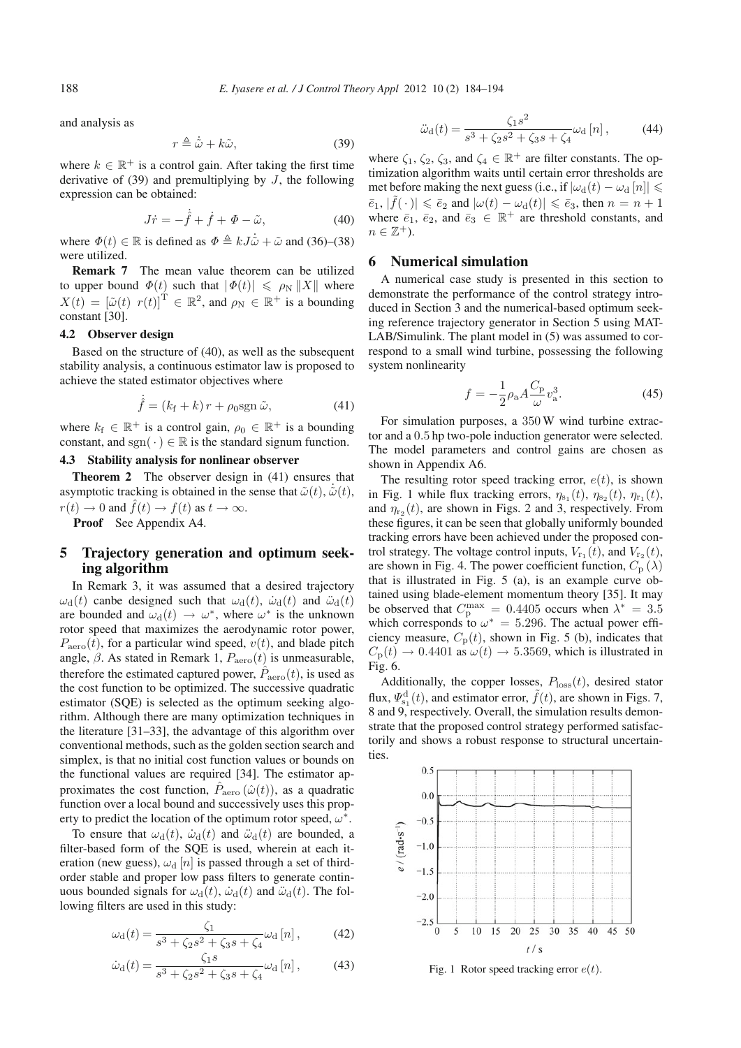and analysis as

$$
r \triangleq \dot{\tilde{\omega}} + k\tilde{\omega},\tag{39}
$$

where  $k \in \mathbb{R}^+$  is a control gain. After taking the first time derivative of  $(39)$  and premultiplying by J, the following expression can be obtained:

$$
J\dot{r} = -\dot{\hat{f}} + \dot{f} + \Phi - \tilde{\omega},\tag{40}
$$

where  $\Phi(t) \in \mathbb{R}$  is defined as  $\Phi \triangleq kJ\ddot{\omega} + \ddot{\omega}$  and (36)–(38) were utilized were utilized.

Remark 7 The mean value theorem can be utilized to upper bound  $\Phi(t)$  such that  $|\Phi(t)| \leq \rho_N ||X||$  where  $Y(t) = [\tilde{\omega}(t), \omega(t)]^T \in \mathbb{R}^2$  and  $e \in \mathbb{R}^+$  is a bounding  $X(t) = [\tilde{\omega}(t) \ r(t)]^{\mathsf{T}} \in \mathbb{R}^2$ , and  $\rho_{\mathbb{N}} \in \mathbb{R}^+$  is a bounding constant [30] constant [30].

#### 4.2 Observer design

Based on the structure of (40), as well as the subsequent stability analysis, a continuous estimator law is proposed to achieve the stated estimator objectives where

$$
\hat{f} = (k_{\rm f} + k) r + \rho_0 \text{sgn } \tilde{\omega},\tag{41}
$$

where  $k_f \in \mathbb{R}^+$  is a control gain,  $\rho_0 \in \mathbb{R}^+$  is a bounding constant, and sgn( $\cdot$ )  $\in \mathbb{R}$  is the standard signum function.

## 4.3 Stability analysis for nonlinear observer

Theorem 2 The observer design in (41) ensures that asymptotic tracking is obtained in the sense that  $\tilde{\omega}(t)$ ,  $\tilde{\omega}(t)$ ,  $r(t) \to 0$  and  $\hat{f}(t) \to f(t)$  as  $t \to \infty$ .

Proof See Appendix A4.

## 5 Trajectory generation and optimum seeking algorithm

In Remark 3, it was assumed that a desired trajectory  $\omega_{\rm d}(t)$  canbe designed such that  $\omega_{\rm d}(t)$ ,  $\dot{\omega}_{\rm d}(t)$  and  $\ddot{\omega}_{\rm d}(t)$ are bounded and  $\omega_d(t) \to \omega^*$ , where  $\omega^*$  is the unknown rotor speed that maximizes the aerodynamic rotor power,  $P_{\text{aero}}(t)$ , for a particular wind speed,  $v(t)$ , and blade pitch angle,  $\beta$ . As stated in Remark 1,  $P_{\text{aero}}(t)$  is unmeasurable, therefore the estimated captured power,  $\hat{P}_{\text{aero}}(t)$ , is used as the cost function to be optimized. The successive quadratic estimator (SQE) is selected as the optimum seeking algorithm. Although there are many optimization techniques in the literature [31–33], the advantage of this algorithm over conventional methods, such as the golden section search and simplex, is that no initial cost function values or bounds on the functional values are required [34]. The estimator approximates the cost function,  $\hat{P}_{\text{aero}}(\hat{\omega}(t))$ , as a quadratic function over a local bound and successively uses this property to predict the location of the optimum rotor speed,  $\omega^*$ .

To ensure that  $\omega_d(t)$ ,  $\dot{\omega}_d(t)$  and  $\ddot{\omega}_d(t)$  are bounded, a filter-based form of the SQE is used, wherein at each iteration (new guess),  $\omega_d$  [n] is passed through a set of thirdorder stable and proper low pass filters to generate continuous bounded signals for  $\omega_d(t)$ ,  $\dot{\omega}_d(t)$  and  $\ddot{\omega}_d(t)$ . The following filters are used in this study:

$$
\omega_{\rm d}(t) = \frac{\zeta_1}{s^3 + \zeta_2 s^2 + \zeta_3 s + \zeta_4} \omega_{\rm d}[n] \,,\tag{42}
$$

$$
\dot{\omega}_{\rm d}(t) = \frac{\zeta_1 s}{s^3 + \zeta_2 s^2 + \zeta_3 s + \zeta_4} \omega_{\rm d} [n] \,, \tag{43}
$$

$$
\ddot{\omega}_{\rm d}(t) = \frac{\zeta_1 s^2}{s^3 + \zeta_2 s^2 + \zeta_3 s + \zeta_4} \omega_{\rm d} [n] \,, \tag{44}
$$

where  $\zeta_1, \zeta_2, \zeta_3$ , and  $\zeta_4 \in \mathbb{R}^+$  are filter constants. The optimization algorithm waits until certain error thresholds are met before making the next guess (i.e., if  $|\omega_d(t) - \omega_d[n]| \leq$  $\vert \bar{e}_1, \vert \bar{f}(\cdot) \vert \leq \bar{e}_2$  and  $\vert \omega(t) - \omega_d(t) \vert \leq \bar{e}_3$ , then  $n = n + 1$ where  $\bar{e}_1$ ,  $\bar{e}_2$ , and  $\bar{e}_3 \in \mathbb{R}^+$  are threshold constants, and  $n \in \mathbb{Z}^+$ ).

## 6 Numerical simulation

A numerical case study is presented in this section to demonstrate the performance of the control strategy introduced in Section 3 and the numerical-based optimum seeking reference trajectory generator in Section 5 using MAT-LAB/Simulink. The plant model in (5) was assumed to correspond to a small wind turbine, possessing the following system nonlinearity

$$
f = -\frac{1}{2}\rho_a A \frac{C_p}{\omega} v_a^3.
$$
 (45)

For simulation purposes, a 350 W wind turbine extrac-<br>cand a 0.5 hp two-pole induction generator were selected tor and a 0.5 hp two-pole induction generator were selected. The model parameters and control gains are chosen as shown in Appendix A6.

The resulting rotor speed tracking error,  $e(t)$ , is shown in Fig. 1 while flux tracking errors,  $\eta_{s_1}(t)$ ,  $\eta_{s_2}(t)$ ,  $\eta_{r_1}(t)$ , and  $\eta_{r_2}(t)$ , are shown in Figs. 2 and 3, respectively. From these figures, it can be seen that globally uniformly bounded tracking errors have been achieved under the proposed control strategy. The voltage control inputs,  $V_{r_1}(t)$ , and  $V_{r_2}(t)$ , are shown in Fig. 4. The power coefficient function,  $C_{\text{p}}(\lambda)$ that is illustrated in Fig. 5 (a), is an example curve obtained using blade-element momentum theory [35]. It may be observed that  $C_p^{\text{max}} = 0.4405$  occurs when  $\lambda^* = 3.5$ <br>which corresponds to  $\omega^* = 5.296$ . The actual power effiwhich corresponds to  $\omega^* = 5.296$ . The actual power efficiency measure,  $C_p(t)$ , shown in Fig. 5 (b), indicates that  $C_p(t) \rightarrow 0.4401$  as  $\omega(t) \rightarrow 5.3569$ , which is illustrated in Fig. 6.

Additionally, the copper losses,  $P_{\text{loss}}(t)$ , desired stator flux,  $\Psi_{\text{sl}}^{\text{d}}(t)$ , and estimator error,  $\tilde{f}(t)$ , are shown in Figs. 7, 8 and 9 respectively. Overall, the simulation results demon-8 and 9, respectively. Overall, the simulation results demonstrate that the proposed control strategy performed satisfactorily and shows a robust response to structural uncertainties.



Fig. 1 Rotor speed tracking error  $e(t)$ .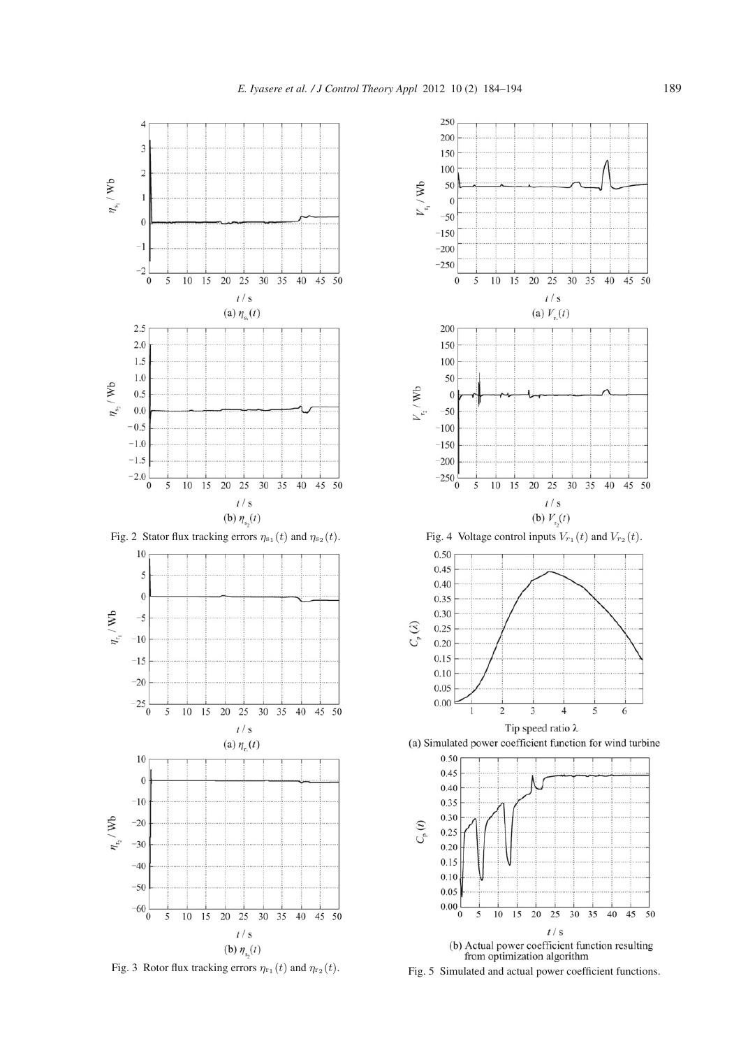

Fig. 3 Rotor flux tracking errors  $\eta_{r_1}(t)$  and  $\eta_{r_2}(t)$ .



Fig. 5 Simulated and actual power coefficient functions.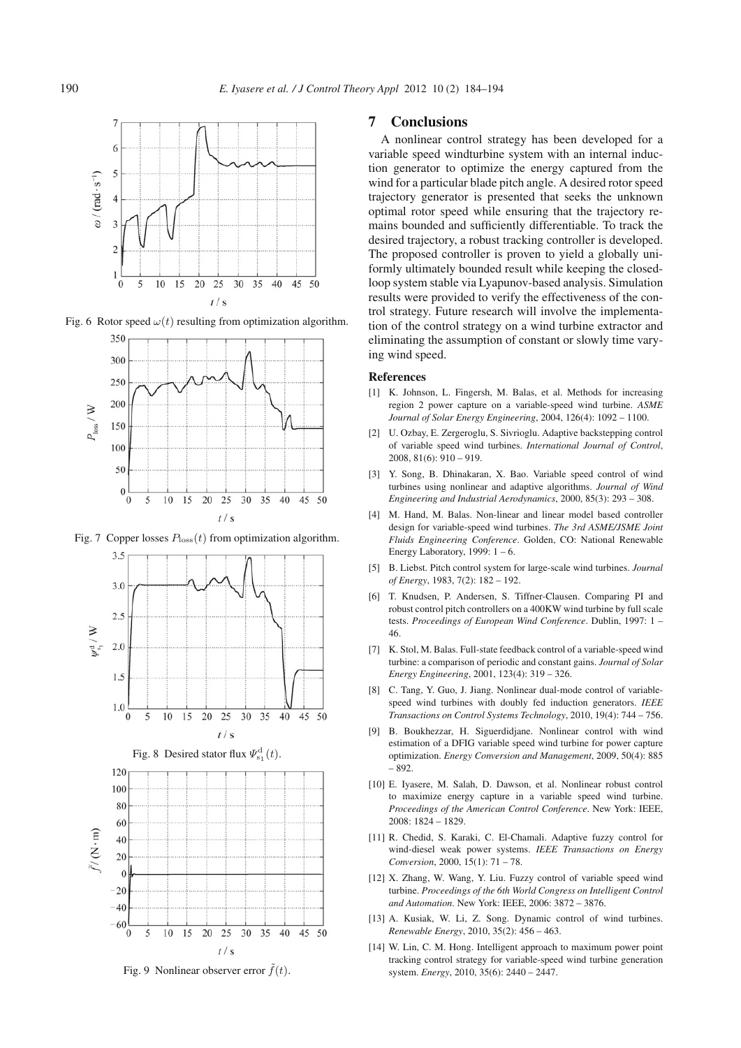

Fig. 6 Rotor speed  $\omega(t)$  resulting from optimization algorithm.



Fig. 7 Copper losses  $P_{\text{loss}}(t)$  from optimization algorithm.







Fig. 9 Nonlinear observer error  $f(t)$ .

## 7 Conclusions

A nonlinear control strategy has been developed for a variable speed windturbine system with an internal induction generator to optimize the energy captured from the wind for a particular blade pitch angle. A desired rotor speed trajectory generator is presented that seeks the unknown optimal rotor speed while ensuring that the trajectory remains bounded and sufficiently differentiable. To track the desired trajectory, a robust tracking controller is developed. The proposed controller is proven to yield a globally uniformly ultimately bounded result while keeping the closedloop system stable via Lyapunov-based analysis. Simulation results were provided to verify the effectiveness of the control strategy. Future research will involve the implementation of the control strategy on a wind turbine extractor and eliminating the assumption of constant or slowly time varying wind speed.

#### References

- [1] K. Johnson, L. Fingersh, M. Balas, et al. Methods for increasing region 2 power capture on a variable-speed wind turbine. *ASME Journal of Solar Energy Engineering*, 2004, 126(4): 1092 – 1100.
- [2] U. Ozbay, E. Zergeroglu, S. Sivrioglu. Adaptive backstepping control of variable speed wind turbines. *International Journal of Control*, 2008, 81(6): 910 – 919.
- [3] Y. Song, B. Dhinakaran, X. Bao. Variable speed control of wind turbines using nonlinear and adaptive algorithms. *Journal of Wind Engineering and Industrial Aerodynamics*, 2000, 85(3): 293 – 308.
- [4] M. Hand, M. Balas. Non-linear and linear model based controller design for variable-speed wind turbines. *The 3rd ASME/JSME Joint Fluids Engineering Conference*. Golden, CO: National Renewable Energy Laboratory, 1999:  $1 - 6$ .
- [5] B. Liebst. Pitch control system for large-scale wind turbines. *Journal of Energy*, 1983, 7(2): 182 – 192.
- [6] T. Knudsen, P. Andersen, S. Tiffner-Clausen. Comparing PI and robust control pitch controllers on a 400KW wind turbine by full scale tests. *Proceedings of European Wind Conference*. Dublin, 1997: 1 – 46.
- [7] K. Stol, M. Balas. Full-state feedback control of a variable-speed wind turbine: a comparison of periodic and constant gains. *Journal of Solar Energy Engineering*, 2001, 123(4): 319 – 326.
- [8] C. Tang, Y. Guo, J. Jiang. Nonlinear dual-mode control of variablespeed wind turbines with doubly fed induction generators. *IEEE Transactions on Control Systems Technology*, 2010, 19(4): 744 – 756.
- [9] B. Boukhezzar, H. Siguerdidjane. Nonlinear control with wind estimation of a DFIG variable speed wind turbine for power capture optimization. *Energy Conversion and Management*, 2009, 50(4): 885 – 892.
- [10] E. Iyasere, M. Salah, D. Dawson, et al. Nonlinear robust control to maximize energy capture in a variable speed wind turbine. *Proceedings of the American Control Conference*. New York: IEEE, 2008: 1824 – 1829.
- [11] R. Chedid, S. Karaki, C. El-Chamali. Adaptive fuzzy control for wind-diesel weak power systems. *IEEE Transactions on Energy Conversion*, 2000, 15(1): 71 – 78.
- [12] X. Zhang, W. Wang, Y. Liu. Fuzzy control of variable speed wind turbine. *Proceedings of the 6th World Congress on Intelligent Control and Automation*. New York: IEEE, 2006: 3872 – 3876.
- [13] A. Kusiak, W. Li, Z. Song. Dynamic control of wind turbines. *Renewable Energy*, 2010, 35(2): 456 – 463.
- [14] W. Lin, C. M. Hong. Intelligent approach to maximum power point tracking control strategy for variable-speed wind turbine generation system. *Energy*, 2010, 35(6): 2440 – 2447.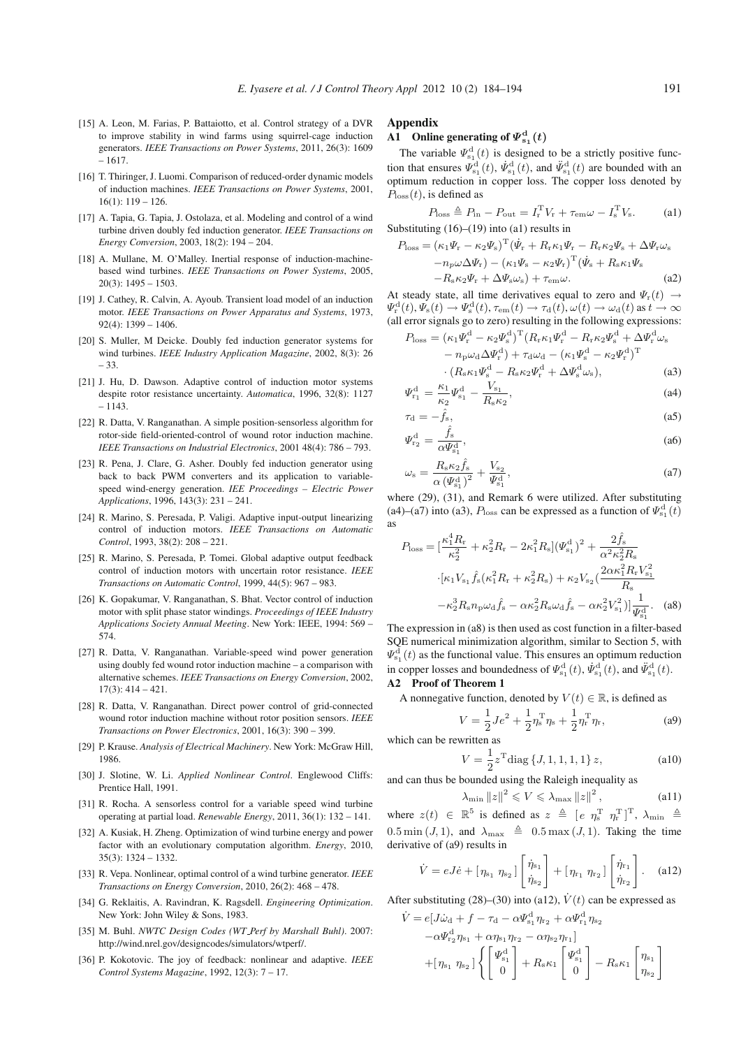- [15] A. Leon, M. Farias, P. Battaiotto, et al. Control strategy of a DVR to improve stability in wind farms using squirrel-cage induction generators. *IEEE Transactions on Power Systems*, 2011, 26(3): 1609 – 1617.
- [16] T. Thiringer, J. Luomi. Comparison of reduced-order dynamic models of induction machines. *IEEE Transactions on Power Systems*, 2001,  $16(1): 119 - 126.$
- [17] A. Tapia, G. Tapia, J. Ostolaza, et al. Modeling and control of a wind turbine driven doubly fed induction generator. *IEEE Transactions on Energy Conversion*, 2003, 18(2): 194 – 204.
- [18] A. Mullane, M. O'Malley. Inertial response of induction-machinebased wind turbines. *IEEE Transactions on Power Systems*, 2005,  $20(3): 1495 - 1503.$
- [19] J. Cathey, R. Calvin, A. Ayoub. Transient load model of an induction motor. *IEEE Transactions on Power Apparatus and Systems*, 1973,  $92(4): 1399 - 1406.$
- [20] S. Muller, M Deicke. Doubly fed induction generator systems for wind turbines. *IEEE Industry Application Magazine*, 2002, 8(3): 26 – 33.
- [21] J. Hu, D. Dawson. Adaptive control of induction motor systems despite rotor resistance uncertainty. *Automatica*, 1996, 32(8): 1127 – 1143.
- [22] R. Datta, V. Ranganathan. A simple position-sensorless algorithm for rotor-side field-oriented-control of wound rotor induction machine. *IEEE Transactions on Industrial Electronics*, 2001 48(4): 786 – 793.
- [23] R. Pena, J. Clare, G. Asher. Doubly fed induction generator using back to back PWM converters and its application to variablespeed wind-energy generation. *IEE Proceedings – Electric Power Applications*, 1996, 143(3): 231 – 241.
- [24] R. Marino, S. Peresada, P. Valigi. Adaptive input-output linearizing control of induction motors. *IEEE Transactions on Automatic Control*, 1993, 38(2): 208 – 221.
- [25] R. Marino, S. Peresada, P. Tomei. Global adaptive output feedback control of induction motors with uncertain rotor resistance. *IEEE Transactions on Automatic Control*, 1999, 44(5): 967 – 983.
- [26] K. Gopakumar, V. Ranganathan, S. Bhat. Vector control of induction motor with split phase stator windings. *Proceedings of IEEE Industry Applications Society Annual Meeting*. New York: IEEE, 1994: 569 – 574.
- [27] R. Datta, V. Ranganathan. Variable-speed wind power generation using doubly fed wound rotor induction machine – a comparison with alternative schemes. *IEEE Transactions on Energy Conversion*, 2002, 17(3): 414 – 421.
- [28] R. Datta, V. Ranganathan. Direct power control of grid-connected wound rotor induction machine without rotor position sensors. *IEEE Transactions on Power Electronics*, 2001, 16(3): 390 – 399.
- [29] P. Krause. *Analysis of Electrical Machinery*. New York: McGraw Hill, 1986.
- [30] J. Slotine, W. Li. *Applied Nonlinear Control*. Englewood Cliffs: Prentice Hall, 1991.
- [31] R. Rocha. A sensorless control for a variable speed wind turbine operating at partial load. *Renewable Energy*, 2011, 36(1): 132 – 141.
- [32] A. Kusiak, H. Zheng. Optimization of wind turbine energy and power factor with an evolutionary computation algorithm. *Energy*, 2010, 35(3): 1324 – 1332.
- [33] R. Vepa. Nonlinear, optimal control of a wind turbine generator. *IEEE Transactions on Energy Conversion*, 2010, 26(2): 468 – 478.
- [34] G. Reklaitis, A. Ravindran, K. Ragsdell. *Engineering Optimization*. New York: John Wiley & Sons, 1983.
- [35] M. Buhl. *NWTC Design Codes (WT Perf by Marshall Buhl)*. 2007: http://wind.nrel.gov/designcodes/simulators/wtperf/.
- [36] P. Kokotovic. The joy of feedback: nonlinear and adaptive. *IEEE Control Systems Magazine*, 1992, 12(3): 7 – 17.

#### Appendix

# **A1** Online generating of  $\Psi_{s_1}^d(t)$

The variable  $\Psi_{s_1}^d(t)$  is designed to be a strictly positive function that ensures  $\bar{\Psi}_{s_1}^{\text{d}}(t)$ ,  $\dot{\Psi}_{s_1}^{\text{d}}(t)$ , and  $\ddot{\Psi}_{s_1}^{\text{d}}(t)$  are bounded with an optimum reduction in copper loss. The copper loss denoted by  $P<sub>loss</sub>(t)$ , is defined as

$$
P_{\text{loss}} \triangleq P_{\text{in}} - P_{\text{out}} = I_{\text{r}}^{\text{T}} V_{\text{r}} + \tau_{\text{em}} \omega - I_{\text{s}}^{\text{T}} V_{\text{s}}.
$$
 (a1)

Substituting  $(16)$ – $(19)$  into  $(a1)$  results in  $\mathbf{r} \wedge \mathbf{T} \wedge \mathbf{\dot{r}}$ 

$$
P_{\text{loss}} = (\kappa_1 \Psi_{\rm r} - \kappa_2 \Psi_{\rm s})^{\text{T}} (\Psi_{\rm r} + R_{\rm r} \kappa_1 \Psi_{\rm r} - R_{\rm r} \kappa_2 \Psi_{\rm s} + \Delta \Psi_{\rm r} \omega_{\rm s} - n_p \omega \Delta \Psi_{\rm r}) - (\kappa_1 \Psi_{\rm s} - \kappa_2 \Psi_{\rm r})^{\text{T}} (\dot{\Psi}_{\rm s} + R_{\rm s} \kappa_1 \Psi_{\rm s} - R_{\rm s} \kappa_2 \Psi_{\rm r} + \Delta \Psi_{\rm s} \omega_{\rm s}) + \tau_{\rm em} \omega.
$$
 (a2)

At steady state, all time derivatives equal to zero and  $\Psi_r(t) \rightarrow$  $\Psi_{\rm r}^{\rm d}(t), \Psi_{\rm s}(t) \to \Psi_{\rm s}^{\rm d}(t), \tau_{\rm em}(t) \to \tau_{\rm d}(t), \omega(t) \to \omega_{\rm d}(t)$  as  $t \to \infty$ (all error signals go to zero) resulting in the following expressions:

$$
P_{\text{loss}} = (\kappa_1 \Psi_{\rm r}^{\rm d} - \kappa_2 \Psi_{\rm s}^{\rm d})^{\rm T} (R_{\rm r} \kappa_1 \Psi_{\rm r}^{\rm d} - R_{\rm r} \kappa_2 \Psi_{\rm s}^{\rm d} + \Delta \Psi_{\rm r}^{\rm d} \omega_{\rm s} - n_{\rm p} \omega_{\rm d} \Delta \Psi_{\rm r}^{\rm d}) + \tau_{\rm d} \omega_{\rm d} - (\kappa_1 \Psi_{\rm s}^{\rm d} - \kappa_2 \Psi_{\rm r}^{\rm d})^{\rm T} \cdot (R_{\rm s} \kappa_1 \Psi_{\rm s}^{\rm d} - R_{\rm s} \kappa_2 \Psi_{\rm r}^{\rm d} + \Delta \Psi_{\rm s}^{\rm d} \omega_{\rm s}),
$$
\n(a3)

$$
\Psi_{r_1}^d = \frac{\kappa_1}{\kappa_2} \Psi_{s_1}^d - \frac{V_{s_1}}{R_s \kappa_2},\tag{a4}
$$

$$
\tau_{\rm d} = -\hat{f}_{\rm s},\tag{a5}
$$
\n
$$
\Psi_{\rm r_2}^{\rm d} = \frac{\hat{f}_{\rm s}}{\alpha \Psi_{\rm s_1}^{\rm d}},\tag{a6}
$$

$$
\omega_{\rm s} = \frac{R_{\rm s}\kappa_2 \hat{f}_{\rm s}}{\alpha \left(\Psi_{\rm s_1}^{\rm d}\right)^2} + \frac{V_{\rm s_2}}{\Psi_{\rm s_1}^{\rm d}},\tag{a7}
$$

where (29), (31), and Remark 6 were utilized. After substituting (a4)–(a7) into (a3),  $P_{\text{loss}}$  can be expressed as a function of  $\Psi_{s_1}^d(t)$ as

$$
P_{\text{loss}} = \left[\frac{\kappa_1^4 R_{\text{r}}}{\kappa_2^2} + \kappa_2^2 R_{\text{r}} - 2\kappa_1^2 R_{\text{s}} \right] (\varPsi_{s_1}^{\text{d}})^2 + \frac{2\hat{f}_{\text{s}}}{\alpha^2 \kappa_2^2 R_{\text{s}}}
$$

$$
\cdot [\kappa_1 V_{s_1} \hat{f}_{\text{s}} (\kappa_1^2 R_{\text{r}} + \kappa_2^2 R_{\text{s}}) + \kappa_2 V_{s_2} (\frac{2\alpha \kappa_1^2 R_{\text{r}} V_{s_1}^2}{R_{\text{s}}}
$$

$$
-\kappa_2^3 R_{\text{s}} n_{\text{p}} \omega_{\text{d}} \hat{f}_{\text{s}} - \alpha \kappa_2^2 R_{\text{s}} \omega_{\text{d}} \hat{f}_{\text{s}} - \alpha \kappa_2^2 V_{s_1}^2)] \frac{1}{\varPsi_{s_1}^{\text{d}}}.
$$
(a8)

The expression in (a8) is then used as cost function in a filter-based SQE numerical minimization algorithm, similar to Section 5, with  $\Psi_{s_1}^{\overline{d}}(t)$  as the functional value. This ensures an optimum reduction in copper losses and boundedness of  $\varPsi^{\text{d}}_{s_1}(t)$ ,  $\dot{\varPsi}^{\text{d}}_{s_1}(t)$ , and  $\ddot{\varPsi}^{\text{d}}_{s_1}(t)$ .

#### A2 Proof of Theorem 1

A nonnegative function, denoted by  $V(t) \in \mathbb{R}$ , is defined as

$$
V = \frac{1}{2}Je^2 + \frac{1}{2}\eta_s^{\mathrm{T}}\eta_s + \frac{1}{2}\eta_r^{\mathrm{T}}\eta_r,\tag{a9}
$$

which can be rewritten as  
\n
$$
V = \frac{1}{2} z^{\mathrm{T}} \text{diag} \{J, 1, 1, 1, 1\} z,
$$
\n(a10)

and can thus be bounded using the Raleigh inequality as

$$
\lambda_{\min} \|z\|^2 \leqslant V \leqslant \lambda_{\max} \|z\|^2 , \qquad (a11)
$$

where  $z(t) \in \mathbb{R}^5$  is defined as  $z \triangleq [e \eta_s^T \eta_r^T]^T$ ,  $\lambda_{\min} \triangleq$  $0.5 \min (J, 1)$ , and  $\lambda_{\max} \triangleq 0.5 \max (J, 1)$ . Taking the time derivative of (a9) results in

$$
\dot{V} = eJ\dot{e} + [\eta_{s_1} \eta_{s_2}] \begin{bmatrix} \dot{\eta}_{s_1} \\ \dot{\eta}_{s_2} \end{bmatrix} + [\eta_{r_1} \eta_{r_2}] \begin{bmatrix} \dot{\eta}_{r_1} \\ \dot{\eta}_{r_2} \end{bmatrix}.
$$
 (a12)

After substituting (28)–(30) into (a12),  $V(t)$  can be expressed as

$$
\dot{V} = e[J\dot{\omega}_{d} + f - \tau_{d} - \alpha \Psi_{s_{1}}^{d} \eta_{r_{2}} + \alpha \Psi_{r_{1}}^{d} \eta_{s_{2}} \n- \alpha \Psi_{r_{2}}^{d} \eta_{s_{1}} + \alpha \eta_{s_{1}} \eta_{r_{2}} - \alpha \eta_{s_{2}} \eta_{r_{1}}] \n+ [\eta_{s_{1}} \eta_{s_{2}}] \left\{ \begin{bmatrix} \Psi_{s_{1}}^{d} \\ 0 \end{bmatrix} + R_{s} \kappa_{1} \begin{bmatrix} \Psi_{s_{1}}^{d} \\ 0 \end{bmatrix} - R_{s} \kappa_{1} \begin{bmatrix} \eta_{s_{1}} \\ \eta_{s_{2}} \end{bmatrix} \right\}
$$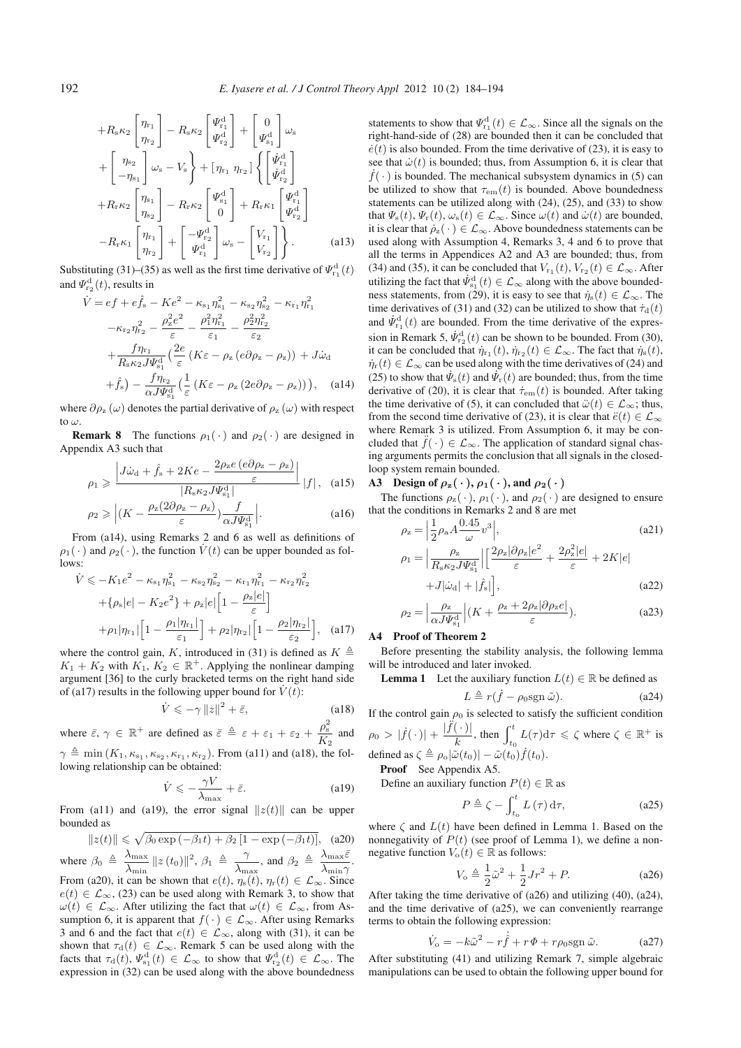$$
+R_{s}\kappa_{2}\begin{bmatrix}\eta_{r_{1}}\\ \eta_{r_{2}}\end{bmatrix}-R_{s}\kappa_{2}\begin{bmatrix}\Psi_{r_{1}}^{d}\\ \Psi_{r_{2}}^{d}\end{bmatrix}+\begin{bmatrix}0\\ \Psi_{s_{1}}^{d}\end{bmatrix}\omega_{s} + \begin{bmatrix}\eta_{s_{2}}\\ -\eta_{s_{1}}\end{bmatrix}\omega_{s}-V_{s}\}+[\eta_{r_{1}}\eta_{r_{2}}]\left\{\begin{bmatrix}\dot{\Psi}_{r_{1}}^{d}\\ \dot{\Psi}_{r_{2}}^{d}\end{bmatrix}\right. +R_{r}\kappa_{2}\begin{bmatrix}\eta_{s_{1}}\\ \eta_{s_{2}}\end{bmatrix}-R_{r}\kappa_{2}\begin{bmatrix}\Psi_{s_{1}}^{d}\\ 0\end{bmatrix}+R_{r}\kappa_{1}\begin{bmatrix}\Psi_{r_{1}}^{d}\\ \Psi_{r_{2}}^{d}\end{bmatrix} -R_{r}\kappa_{1}\begin{bmatrix}\eta_{r_{1}}\\ \eta_{r_{2}}\end{bmatrix}+\begin{bmatrix}-\Psi_{r_{2}}^{d}\\ \Psi_{r_{1}}^{d}\end{bmatrix}\omega_{s}-\begin{bmatrix}V_{r_{1}}\\ V_{r_{2}}\end{bmatrix}\right\}.
$$
 (a13)

Substituting (31)–(35) as well as the first time derivative of  $\varPsi_{\rm r_1}^{\rm d}(t)$ and  $\Psi_{\rm r_2}^{\rm d}(t)$ , results in

$$
\dot{V} = ef + e\hat{f}_{s} - Ke^{2} - \kappa_{s_{1}}\eta_{s_{1}}^{2} - \kappa_{s_{2}}\eta_{s_{2}}^{2} - \kappa_{r_{1}}\eta_{r_{1}}^{2}
$$
\n
$$
-\kappa_{r_{2}}\eta_{r_{2}}^{2} - \frac{\rho_{z}^{2}e^{2}}{\varepsilon} - \frac{\rho_{1}^{2}\eta_{r_{1}}^{2}}{\varepsilon_{1}} - \frac{\rho_{2}^{2}\eta_{r_{2}}^{2}}{\varepsilon_{2}}
$$
\n
$$
+\frac{f\eta_{r_{1}}}{R_{s}\kappa_{2}J\Psi_{s_{1}}^{d}}\left(\frac{2e}{\varepsilon}\left(K\varepsilon - \rho_{z}\left(e\partial\rho_{z} - \rho_{z}\right)\right) + J\dot{\omega}_{d}
$$
\n
$$
+ \hat{f}_{s}\right) - \frac{f\eta_{r_{2}}}{\alpha J\Psi_{s_{1}}^{d}}\left(\frac{1}{\varepsilon}\left(K\varepsilon - \rho_{z}\left(2e\partial\rho_{z} - \rho_{z}\right)\right)\right), \quad (a14)
$$

where  $\partial \rho_z(\omega)$  denotes the partial derivative of  $\rho_z(\omega)$  with respect to ω.

**Remark 8** The functions  $\rho_1(\cdot)$  and  $\rho_2(\cdot)$  are designed in Appendix A3 such that

$$
\rho_1 \geqslant \frac{\left| J\dot{\omega}_{\rm d} + \hat{f}_{\rm s} + 2Ke - \frac{2\rho_{\rm z}e\left(e\partial\rho_{\rm z} - \rho_{\rm z}\right)}{\varepsilon} \right|}{\left| R_{\rm s}\kappa_2 J \Psi_{\rm s_1}^{\rm d} \right|} \left| f \right|, \quad (a15)
$$

$$
\rho_2 \geqslant \left| \left( K - \frac{\rho_z (2 \partial \rho_z - \rho_z)}{\varepsilon} \right) \frac{f}{\alpha J \Psi_{s_1}^d} \right|.
$$
 (a16)

From (a14), using Remarks 2 and 6 as well as definitions of  $\rho_1(\cdot)$  and  $\rho_2(\cdot)$ , the function  $\dot{V}(t)$  can be upper bounded as follows:

$$
\dot{V} \le -K_1 e^2 - \kappa_{s_1} \eta_{s_1}^2 - \kappa_{s_2} \eta_{s_2}^2 - \kappa_{r_1} \eta_{r_1}^2 - \kappa_{r_2} \eta_{r_2}^2 \n+ \{ \rho_s |e| - K_2 e^2 \} + \rho_z |e| \left[ 1 - \frac{\rho_z |e|}{\varepsilon} \right] \n+ \rho_1 |\eta_{r_1}| \left[ 1 - \frac{\rho_1 |\eta_{r_1}|}{\varepsilon_1} \right] + \rho_2 |\eta_{r_2}| \left[ 1 - \frac{\rho_2 |\eta_{r_2}|}{\varepsilon_2} \right], \quad (a17)
$$

where the control gain, K, introduced in (31) is defined as  $K \triangleq$  $K_1 + K_2$  with  $K_1, K_2 \in \mathbb{R}^+$ . Applying the nonlinear damping argument [36] to the curly bracketed terms on the right hand side of (a17) results in the following upper bound for  $\dot{V}(t)$ :

$$
\dot{V} \leqslant -\gamma \|z\|^2 + \bar{\varepsilon}, \tag{a18}
$$

where  $\bar{\varepsilon}$ ,  $\gamma \in \mathbb{R}^+$  are defined as  $\bar{\varepsilon} \triangleq \varepsilon + \varepsilon_1 + \varepsilon_2 + \frac{\rho_s^2}{K}$  $\frac{P}{K_2}$  and  $\gamma \triangleq \min(K_1, \kappa_{s_1}, \kappa_{s_2}, \kappa_{r_1}, \kappa_{r_2})$ . From (a11) and (a18), the following relationship can be obtained:

$$
\dot{V} \leqslant -\frac{\gamma V}{\lambda_{\text{max}}} + \bar{\varepsilon}.\tag{a19}
$$

From (a11) and (a19), the error signal  $||z(t)||$  can be upper bounded as

 $||z(t)|| \leq \sqrt{\beta_0 \exp(-\beta_1 t) + \beta_2 [1 - \exp(-\beta_1 t)]},$  (a20) where  $\beta_0 \triangleq \frac{\lambda_{\text{max}}}{\lambda}$  $\frac{\lambda_{\max}}{\lambda_{\min}} \|z\left(t_0\right)\|^2,\, \beta_1\ \triangleq\ \frac{\gamma}{\lambda_{\min}}$  $\frac{\gamma}{\lambda_{\max}}$ , and  $\beta_2 \triangleq \frac{\lambda_{\max} \bar{\varepsilon}}{\lambda_{\min} \gamma}$ . From (a20), it can be shown that  $e(t)$ ,  $\eta_s(t)$ ,  $\eta_r(t) \in \mathcal{L}_{\infty}$ . Since  $e(t) \in \mathcal{L}_{\infty}$ , (23) can be used along with Remark 3, to show that  $\omega(t) \in \mathcal{L}_{\infty}$ . After utilizing the fact that  $\omega(t) \in \mathcal{L}_{\infty}$ , from Assumption 6, it is apparent that  $f(\cdot) \in \mathcal{L}_{\infty}$ . After using Remarks 3 and 6 and the fact that  $e(t) \in \mathcal{L}_{\infty}$ , along with (31), it can be shown that  $\tau_d(t) \in \mathcal{L}_{\infty}$ . Remark 5 can be used along with the facts that  $\tau_d(t), \Psi_{s_1}^d(t) \in \mathcal{L}_{\infty}$  to show that  $\Psi_{r_2}^d(t) \in \mathcal{L}_{\infty}$ . The expression in (32) can be used along with the above boundedness

statements to show that  $\Psi_{r_1}^d(t) \in \mathcal{L}_{\infty}$ . Since all the signals on the right-hand-side of (28) are bounded then it can be concluded that  $\dot{e}(t)$  is also bounded. From the time derivative of (23), it is easy to see that  $\dot{\omega}(t)$  is bounded; thus, from Assumption 6, it is clear that  $\dot{f}(\cdot)$  is bounded. The mechanical subsystem dynamics in (5) can be utilized to show that  $\tau_{em}(t)$  is bounded. Above boundedness statements can be utilized along with (24), (25), and (33) to show that  $\Psi_{s}(t), \Psi_{r}(t), \omega_{s}(t) \in \mathcal{L}_{\infty}$ . Since  $\omega(t)$  and  $\dot{\omega}(t)$  are bounded, it is clear that  $\dot{\rho}_z(\cdot) \in \mathcal{L}_{\infty}$ . Above boundedness statements can be used along with Assumption 4, Remarks 3, 4 and 6 to prove that all the terms in Appendices A2 and A3 are bounded; thus, from (34) and (35), it can be concluded that  $V_{r_1}(t)$ ,  $V_{r_2}(t) \in \mathcal{L}_{\infty}$ . After utilizing the fact that  $\dot{\Psi}_{s_1}^d(t) \in \mathcal{L}_{\infty}$  along with the above boundedness statements, from (29), it is easy to see that  $\dot{\eta}_s(t) \in \mathcal{L}_{\infty}$ . The time derivatives of (31) and (32) can be utilized to show that  $\dot{\tau}_d(t)$ and  $\dot{\Psi}_{\text{r}_1}^{\text{d}}(t)$  are bounded. From the time derivative of the expression in Remark 5,  $\dot{\Psi}_{\text{r}_2}^{\text{d}}(t)$  can be shown to be bounded. From (30), it can be concluded that  $\dot{\eta}_{r_1}(t), \dot{\eta}_{r_2}(t) \in \mathcal{L}_{\infty}$ . The fact that  $\dot{\eta}_s(t)$ ,  $\dot{\eta}_r(t) \in \mathcal{L}_{\infty}$  can be used along with the time derivatives of (24) and (25) to show that  $\dot{\Psi}_s(t)$  and  $\dot{\Psi}_r(t)$  are bounded; thus, from the time derivative of (20), it is clear that  $\dot{\tau}_{em}(t)$  is bounded. After taking the time derivative of (5), it can concluded that  $\ddot{\omega}(t) \in \mathcal{L}_{\infty}$ ; thus, from the second time derivative of (23), it is clear that  $\ddot{e}(t) \in \mathcal{L}_{\infty}$ where Remark 3 is utilized. From Assumption 6, it may be concluded that  $\ddot{f}(\cdot) \in \mathcal{L}_{\infty}$ . The application of standard signal chasing arguments permits the conclusion that all signals in the closedloop system remain bounded.

A3 Design of  $\rho_z(\cdot)$ ,  $\rho_1(\cdot)$ , and  $\rho_2(\cdot)$ 

The functions  $\rho_z(\cdot)$ ,  $\rho_1(\cdot)$ , and  $\rho_2(\cdot)$  are designed to ensure that the conditions in Remarks 2 and 8 are met

$$
\rho_z = \left| \frac{1}{2} \rho_a A \frac{0.45}{\omega} v^3 \right|,\tag{a21}
$$

$$
\rho_1 = \left| \frac{\rho_z}{R_s \kappa_2 J \Psi_{\rm sl}^{\rm d}} \right| \left[ \frac{2\rho_z |\partial \rho_z| e^2}{\varepsilon} + \frac{2\rho_z^2 |e|}{\varepsilon} + 2K|e| + J|\dot{\omega}_{\rm d}| + |\hat{f}_{\rm s}| \right],\tag{a22}
$$

$$
\rho_2 = \left| \frac{\rho_z}{\alpha J \Psi_{\rm s_1}^{\rm d}} \right| (K + \frac{\rho_z + 2\rho_z |\partial \rho_z e|}{\varepsilon}). \tag{a23}
$$

#### A4 Proof of Theorem 2

Before presenting the stability analysis, the following lemma will be introduced and later invoked.

**Lemma 1** Let the auxiliary function  $L(t) \in \mathbb{R}$  be defined as

$$
L \triangleq r(\dot{f} - \rho_0 \text{sgn}\,\tilde{\omega}).\tag{a24}
$$

If the control gain  $\rho_0$  is selected to satisfy the sufficient condition  $\rho_0 > |f(\cdot)| + \frac{|\ddot{f}(\cdot)|}{k}$ , then  $\int_{t_0}^t$  $t_0^{\tau} L(\tau) d\tau \leqslant \zeta$  where  $\zeta \in \mathbb{R}^+$  is defined as  $\zeta \triangleq \rho_o |\tilde{\omega}(t_0)| - \tilde{\omega}(t_0) \dot{f}(t_0)$ .

Proof See Appendix A5.

Define an auxiliary function  $P(t) \in \mathbb{R}$  as

$$
P \triangleq \zeta - \int_{t_0}^{t} L(\tau) d\tau, \qquad (a25)
$$

where  $\zeta$  and  $L(t)$  have been defined in Lemma 1. Based on the nonnegativity of  $P(t)$  (see proof of Lemma 1), we define a nonnegative function  $V_o(t) \in \mathbb{R}$  as follows:

$$
V_{\rm o} \triangleq \frac{1}{2}\tilde{\omega}^2 + \frac{1}{2}Jr^2 + P.
$$
 (a26)

After taking the time derivative of (a26) and utilizing (40), (a24), and the time derivative of (a25), we can conveniently rearrange terms to obtain the following expression:

$$
\dot{V}_{o} = -k\tilde{\omega}^{2} - r\dot{\hat{f}} + r\Phi + r\rho_{0}\text{sgn}\,\tilde{\omega}.
$$
 (a27)

After substituting (41) and utilizing Remark 7, simple algebraic manipulations can be used to obtain the following upper bound for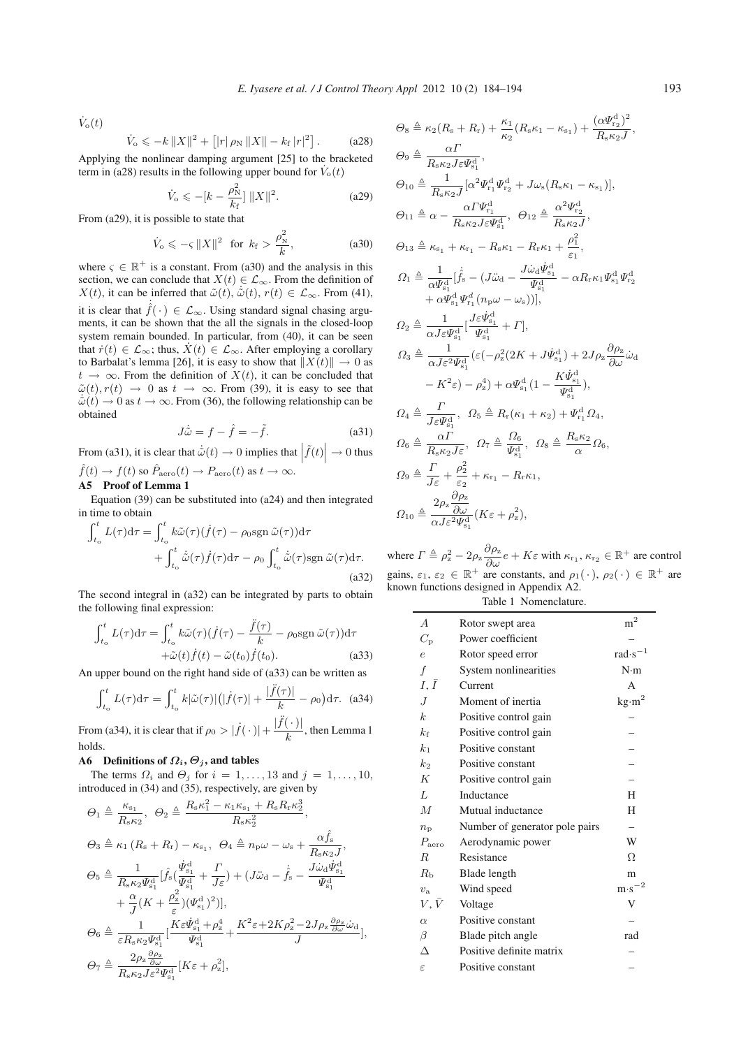$\dot{V}_{\rm o}(t)$ 

$$
\dot{V}_{\rm o} \leqslant -k \|X\|^2 + \left[|r|\,\rho_{\rm N}\, \|X\| - k_{\rm f}\, |r|^2\right].\tag{a28}
$$

Applying the nonlinear damping argument [25] to the bracketed term in (a28) results in the following upper bound for  $\dot{V}_0(t)$ 

$$
\dot{V}_{\text{o}} \leq -[k - \frac{\rho_{\text{N}}^2}{k_{\text{f}}}] \|X\|^2. \tag{a29}
$$

From (a29), it is possible to state that

$$
\dot{V}_{\text{o}} \leqslant -\varsigma \|X\|^2 \quad \text{for} \quad k_{\text{f}} > \frac{\rho_{\text{N}}^2}{k},\tag{a30}
$$

where  $\varsigma \in \mathbb{R}^+$  is a constant. From (a30) and the analysis in this section, we can conclude that  $X(t) \in \mathcal{L}_{\infty}$ . From the definition of  $X(t)$ , it can be inferred that  $\tilde{\omega}(t)$ ,  $\dot{\tilde{\omega}}(t)$ ,  $r(t) \in \mathcal{L}_{\infty}$ . From (41), it is clear that  $\hat{f}(\cdot) \in \mathcal{L}_{\infty}$ . Using standard signal chasing arguments, it can be shown that the all the signals in the closed-loop system remain bounded. In particular, from (40), it can be seen that  $\dot{r}(t) \in \mathcal{L}_{\infty}$ ; thus,  $\dot{X}(t) \in \mathcal{L}_{\infty}$ . After employing a corollary to Barbalat's lemma [26], it is easy to show that  $||X(t)|| \rightarrow 0$  as  $t \to \infty$ . From the definition of  $X(t)$ , it can be concluded that  $\tilde{\omega}(t)$ ,  $r(t) \rightarrow 0$  as  $t \rightarrow \infty$ . From (39), it is easy to see that  $\dot{\tilde{\omega}}(t) \rightarrow 0$  as  $t \rightarrow \infty$ . From (36), the following relationship can be obtained

$$
J\dot{\tilde{\omega}} = f - \hat{f} = -\tilde{f}.
$$
 (a31)

From (a31), it is clear that  $\dot{\tilde{\omega}}(t) \rightarrow 0$  implies that  $|\tilde{f}(t)| \rightarrow 0$  thus  $\hat{f}(t) \to f(t)$  so  $\hat{P}_{\text{aero}}(t) \to P_{\text{aero}}(t)$  as  $t \to \infty$ .

## A5 Proof of Lemma 1

Equation (39) can be substituted into (a24) and then integrated in time to obtain

$$
\int_{t_o}^{t} L(\tau) d\tau = \int_{t_o}^{t} k \tilde{\omega}(\tau) (\dot{f}(\tau) - \rho_0 \text{sgn} \,\tilde{\omega}(\tau)) d\tau \n+ \int_{t_o}^{t} \dot{\tilde{\omega}}(\tau) \dot{f}(\tau) d\tau - \rho_0 \int_{t_o}^{t} \dot{\tilde{\omega}}(\tau) \text{sgn} \,\tilde{\omega}(\tau) d\tau.
$$
\n(a32)

The second integral in (a32) can be integrated by parts to obtain the following final expression:

$$
\int_{t_0}^{t} L(\tau) d\tau = \int_{t_0}^{t} k \tilde{\omega}(\tau) (\dot{f}(\tau) - \frac{\ddot{f}(\tau)}{k} - \rho_0 \text{sgn} \,\tilde{\omega}(\tau)) d\tau \n+ \tilde{\omega}(t) \dot{f}(t) - \tilde{\omega}(t_0) \dot{f}(t_0).
$$
\n(a33)

An upper bound on the right hand side of (a33) can be written as

$$
\int_{t_0}^t L(\tau) d\tau = \int_{t_0}^t k|\tilde{\omega}(\tau)|\left(|\dot{f}(\tau)| + \frac{|\ddot{f}(\tau)|}{k} - \rho_0\right) d\tau. \quad (a34)
$$

From (a34), it is clear that if  $\rho_0 > |\dot{f}(\cdot)| + \frac{|\ddot{f}(\cdot)|}{k}$ , then Lemma 1 holds.

#### A6 Definitions of  $\Omega_i$ ,  $\Theta_j$ , and tables

The terms  $\Omega_i$  and  $\Theta_j$  for  $i = 1, \ldots, 13$  and  $j = 1, \ldots, 10$ , introduced in (34) and (35), respectively, are given by

$$
\Theta_{1} \triangleq \frac{\kappa_{s_{1}}}{R_{s}\kappa_{2}}, \quad \Theta_{2} \triangleq \frac{R_{s}\kappa_{1}^{2} - \kappa_{1}\kappa_{s_{1}} + R_{s}R_{r}\kappa_{2}^{3}}{R_{s}\kappa_{2}^{2}},
$$
\n
$$
\Theta_{3} \triangleq \kappa_{1} (R_{s} + R_{r}) - \kappa_{s_{1}}, \quad \Theta_{4} \triangleq n_{p}\omega - \omega_{s} + \frac{\alpha\hat{f}_{s}}{R_{s}\kappa_{2}J},
$$
\n
$$
\Theta_{5} \triangleq \frac{1}{R_{s}\kappa_{2}\Psi_{s_{1}}^{d}} [\hat{f}_{s}(\frac{\dot{\Psi}_{s_{1}}^{d}}{\Psi_{s_{1}}^{d}} + \frac{\Gamma}{J\varepsilon}) + (\tilde{J}\ddot{\omega}_{d} - \dot{\hat{f}}_{s} - \frac{\tilde{J}\dot{\omega}_{d}\dot{\Psi}_{s_{1}}^{d}}{\Psi_{s_{1}}^{d}} + \frac{\alpha}{J}(K + \frac{\rho_{z}^{2}}{\varepsilon})(\Psi_{s_{1}}^{d})^{2})],
$$
\n
$$
\Theta_{6} \triangleq \frac{1}{\varepsilon R_{s}\kappa_{2}\Psi_{s_{1}}^{d}} [\frac{K\varepsilon\dot{\Psi}_{s_{1}}^{d} + \rho_{z}^{4}}{\Psi_{s_{1}}^{d}} + \frac{K^{2}\varepsilon + 2K\rho_{z}^{2} - 2J\rho_{z}\frac{\partial\rho_{z}}{\partial\omega}\dot{\omega}_{d}}{J},
$$
\n
$$
\Theta_{7} \triangleq \frac{2\rho_{z}\frac{\partial\rho_{z}}{\partial\omega}}{R_{s}\kappa_{2}J\varepsilon^{2}\Psi_{s_{1}}^{d}} [K\varepsilon + \rho_{z}^{2}],
$$

$$
\Theta_{8} \triangleq \kappa_{2}(R_{s} + R_{r}) + \frac{\kappa_{1}}{\kappa_{2}}(R_{s}\kappa_{1} - \kappa_{s_{1}}) + \frac{(\alpha \Psi_{r_{2}}^{d})^{2}}{R_{s}\kappa_{2}J},
$$
\n
$$
\Theta_{9} \triangleq \frac{\alpha \Gamma}{R_{s}\kappa_{2}J\varepsilon\Psi_{s_{1}}^{d}},
$$
\n
$$
\Theta_{10} \triangleq \frac{1}{R_{s}\kappa_{2}J\varepsilon\Psi_{s_{1}}^{d}},
$$
\n
$$
\Theta_{11} \triangleq \alpha - \frac{\alpha \Gamma \Psi_{r_{1}}^{d}}{R_{s}\kappa_{2}J\varepsilon\Psi_{s_{1}}^{d}},
$$
\n
$$
\Theta_{12} \triangleq \frac{\alpha^{2}\Psi_{r_{2}}^{d}}{R_{s}\kappa_{2}J},
$$
\n
$$
\Theta_{13} \triangleq \kappa_{s_{1}} + \kappa_{r_{1}} - R_{s}\kappa_{1} - R_{r}\kappa_{1} + \frac{\rho_{1}^{2}}{\varepsilon_{1}},
$$
\n
$$
\Omega_{1} \triangleq \frac{1}{\alpha \Psi_{s_{1}}^{d}}[\hat{f}_{s} - (J\ddot{\omega}_{d} - \frac{J\dot{\omega}_{d}\dot{\Psi}_{s_{1}}^{d}}{\Psi_{s_{1}}^{d}} - \alpha R_{r}\kappa_{1}\Psi_{s_{1}}^{d}\Psi_{r_{2}}^{d} + \alpha \Psi_{s_{1}}^{d}\Psi_{r_{2}}^{d}[\hat{\Psi}_{r_{1}}^{d}(\eta_{p}\omega - \omega_{s}))],
$$
\n
$$
\Omega_{2} \triangleq \frac{1}{\alpha J\varepsilon\Psi_{s_{1}}^{d}}[\frac{J\varepsilon\dot{\Psi}_{s_{1}}^{d}}{\Psi_{s_{1}}^{d}} + \Gamma],
$$
\n
$$
\Omega_{3} \triangleq \frac{1}{\alpha J\varepsilon^{2}\Psi_{s_{1}}^{d}}(\varepsilon(-\rho_{z}^{2}(2K + J\dot{\Psi}_{s_{1}}^{d}) + 2J\rho_{z}\frac{\partial\rho_{z}}{\partial\omega}\dot{\omega}_{d} - K^{2}\varepsilon) - \rho_{z}^{4}) + \alpha\Psi_{s_{1}}^{d}(1 - \frac{K\dot{\Psi}_{s_{1}}^{d}}{\Psi_{s_{1}}^{d}}),
$$
\n<math display="</math>

where  $\Gamma \triangleq \rho_z^2 - 2\rho_z \frac{\partial \rho_z}{\partial \omega} e + K \varepsilon$  with  $\kappa_{r_1}, \kappa_{r_2} \in \mathbb{R}^+$  are control gains,  $\varepsilon_1, \varepsilon_2 \in \mathbb{R}^+$  are constants, and  $\rho_1(\cdot), \rho_2(\cdot) \in \mathbb{R}^+$  are known functions designed in Appendix A2.

Table 1 Nomenclature.

| $\overline{A}$    | Rotor swept area               | $\rm m^2$                   |
|-------------------|--------------------------------|-----------------------------|
| $C_{\rm p}$       | Power coefficient              |                             |
| $\epsilon$        | Rotor speed error              | rad $\cdot$ s <sup>-1</sup> |
| $\boldsymbol{f}$  | System nonlinearities          | $N \cdot m$                 |
| $I, \overline{I}$ | Current                        | A                           |
| J                 | Moment of inertia              | $\text{kg}\cdot\text{m}^2$  |
| $\boldsymbol{k}$  | Positive control gain          |                             |
| $k_{\rm f}$       | Positive control gain          |                             |
| $k_{1}$           | Positive constant              |                             |
| $k_2$             | Positive constant              |                             |
| K                 | Positive control gain          |                             |
| L                 | Inductance                     | H                           |
| $\overline{M}$    | Mutual inductance              | H                           |
| $n_{\rm p}$       | Number of generator pole pairs |                             |
| $P_{\text{aero}}$ | Aerodynamic power              | W                           |
| R                 | Resistance                     | Ω                           |
| $R_{\rm h}$       | Blade length                   | m                           |
| $v_{\rm a}$       | Wind speed                     | $m \cdot s^{-2}$            |
| $V, \bar{V}$      | Voltage                        | V                           |
| $\alpha$          | Positive constant              |                             |
| $\beta$           | Blade pitch angle              | rad                         |
| Л                 | Positive definite matrix       |                             |
| $\varepsilon$     | Positive constant              |                             |